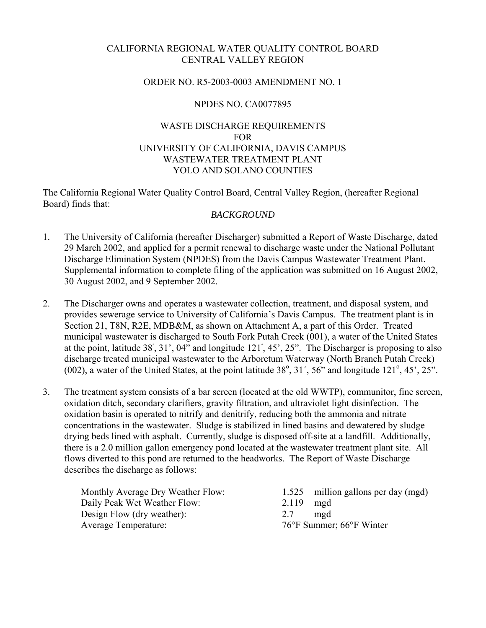## CALIFORNIA REGIONAL WATER QUALITY CONTROL BOARD CENTRAL VALLEY REGION

### ORDER NO. R5-2003-0003 AMENDMENT NO. 1

## NPDES NO. CA0077895

## WASTE DISCHARGE REQUIREMENTS FOR UNIVERSITY OF CALIFORNIA, DAVIS CAMPUS WASTEWATER TREATMENT PLANT YOLO AND SOLANO COUNTIES

The California Regional Water Quality Control Board, Central Valley Region, (hereafter Regional Board) finds that:

## *BACKGROUND*

- 1. The University of California (hereafter Discharger) submitted a Report of Waste Discharge, dated 29 March 2002, and applied for a permit renewal to discharge waste under the National Pollutant Discharge Elimination System (NPDES) from the Davis Campus Wastewater Treatment Plant. Supplemental information to complete filing of the application was submitted on 16 August 2002, 30 August 2002, and 9 September 2002.
- 2. The Discharger owns and operates a wastewater collection, treatment, and disposal system, and provides sewerage service to University of California's Davis Campus. The treatment plant is in Section 21, T8N, R2E, MDB&M, as shown on Attachment A, a part of this Order. Treated municipal wastewater is discharged to South Fork Putah Creek (001), a water of the United States at the point, latitude 38ْ, 31', 04" and longitude 121ْ, 45', 25". The Discharger is proposing to also discharge treated municipal wastewater to the Arboretum Waterway (North Branch Putah Creek) (002), a water of the United States, at the point latitude  $38^\circ$ ,  $31^\prime$ ,  $56^\prime$  and longitude  $121^\circ$ ,  $45^\prime$ ,  $25^\prime$ .
- 3. The treatment system consists of a bar screen (located at the old WWTP), communitor, fine screen, oxidation ditch, secondary clarifiers, gravity filtration, and ultraviolet light disinfection. The oxidation basin is operated to nitrify and denitrify, reducing both the ammonia and nitrate concentrations in the wastewater. Sludge is stabilized in lined basins and dewatered by sludge drying beds lined with asphalt. Currently, sludge is disposed off-site at a landfill. Additionally, there is a 2.0 million gallon emergency pond located at the wastewater treatment plant site. All flows diverted to this pond are returned to the headworks. The Report of Waste Discharge describes the discharge as follows:

| Monthly Average Dry Weather Flow: | 1.525 million gallons per day (mgd) |
|-----------------------------------|-------------------------------------|
| Daily Peak Wet Weather Flow:      | $2.119$ mgd                         |
| Design Flow (dry weather):        | 2.7<br>mgd                          |
| <b>Average Temperature:</b>       | 76°F Summer; 66°F Winter            |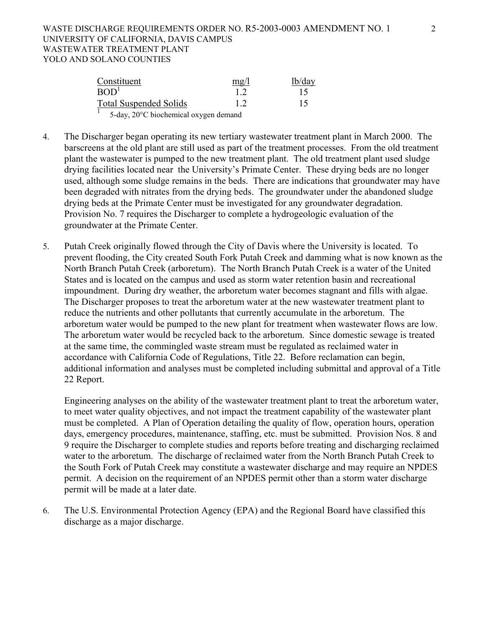| Constituent                           | $m\Omega$ | lb/day          |
|---------------------------------------|-----------|-----------------|
| BOD <sup>1</sup>                      | 12        | $\overline{15}$ |
| <b>Total Suspended Solids</b>         | 12        | 15              |
| 5-day, 20°C biochemical oxygen demand |           |                 |

- 4. The Discharger began operating its new tertiary wastewater treatment plant in March 2000. The barscreens at the old plant are still used as part of the treatment processes. From the old treatment plant the wastewater is pumped to the new treatment plant. The old treatment plant used sludge drying facilities located near the University's Primate Center. These drying beds are no longer used, although some sludge remains in the beds. There are indications that groundwater may have been degraded with nitrates from the drying beds. The groundwater under the abandoned sludge drying beds at the Primate Center must be investigated for any groundwater degradation. Provision No. 7 requires the Discharger to complete a hydrogeologic evaluation of the groundwater at the Primate Center.
- 5. Putah Creek originally flowed through the City of Davis where the University is located. To prevent flooding, the City created South Fork Putah Creek and damming what is now known as the North Branch Putah Creek (arboretum). The North Branch Putah Creek is a water of the United States and is located on the campus and used as storm water retention basin and recreational impoundment. During dry weather, the arboretum water becomes stagnant and fills with algae. The Discharger proposes to treat the arboretum water at the new wastewater treatment plant to reduce the nutrients and other pollutants that currently accumulate in the arboretum. The arboretum water would be pumped to the new plant for treatment when wastewater flows are low. The arboretum water would be recycled back to the arboretum. Since domestic sewage is treated at the same time, the commingled waste stream must be regulated as reclaimed water in accordance with California Code of Regulations, Title 22. Before reclamation can begin, additional information and analyses must be completed including submittal and approval of a Title 22 Report.

Engineering analyses on the ability of the wastewater treatment plant to treat the arboretum water, to meet water quality objectives, and not impact the treatment capability of the wastewater plant must be completed. A Plan of Operation detailing the quality of flow, operation hours, operation days, emergency procedures, maintenance, staffing, etc. must be submitted. Provision Nos. 8 and 9 require the Discharger to complete studies and reports before treating and discharging reclaimed water to the arboretum. The discharge of reclaimed water from the North Branch Putah Creek to the South Fork of Putah Creek may constitute a wastewater discharge and may require an NPDES permit. A decision on the requirement of an NPDES permit other than a storm water discharge permit will be made at a later date.

6. The U.S. Environmental Protection Agency (EPA) and the Regional Board have classified this discharge as a major discharge.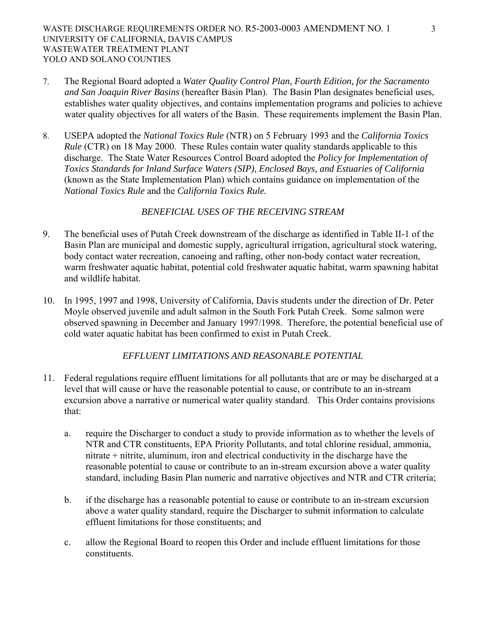- 7. The Regional Board adopted a *Water Quality Control Plan*, *Fourth Edition, for the Sacramento and San Joaquin River Basins* (hereafter Basin Plan). The Basin Plan designates beneficial uses, establishes water quality objectives, and contains implementation programs and policies to achieve water quality objectives for all waters of the Basin. These requirements implement the Basin Plan.
- 8. USEPA adopted the *National Toxics Rule* (NTR) on 5 February 1993 and the *California Toxics Rule* (CTR) on 18 May 2000. These Rules contain water quality standards applicable to this discharge. The State Water Resources Control Board adopted the *Policy for Implementation of Toxics Standards for Inland Surface Waters (SIP), Enclosed Bays, and Estuaries of California* (known as the State Implementation Plan) which contains guidance on implementation of the *National Toxics Rule* and the *California Toxics Rule.*

## *BENEFICIAL USES OF THE RECEIVING STREAM*

- 9. The beneficial uses of Putah Creek downstream of the discharge as identified in Table II-1 of the Basin Plan are municipal and domestic supply, agricultural irrigation, agricultural stock watering, body contact water recreation, canoeing and rafting, other non-body contact water recreation, warm freshwater aquatic habitat, potential cold freshwater aquatic habitat, warm spawning habitat and wildlife habitat.
- 10. In 1995, 1997 and 1998, University of California, Davis students under the direction of Dr. Peter Moyle observed juvenile and adult salmon in the South Fork Putah Creek. Some salmon were observed spawning in December and January 1997/1998. Therefore, the potential beneficial use of cold water aquatic habitat has been confirmed to exist in Putah Creek.

## *EFFLUENT LIMITATIONS AND REASONABLE POTENTIAL*

- 11. Federal regulations require effluent limitations for all pollutants that are or may be discharged at a level that will cause or have the reasonable potential to cause, or contribute to an in-stream excursion above a narrative or numerical water quality standard. This Order contains provisions that:
	- a. require the Discharger to conduct a study to provide information as to whether the levels of NTR and CTR constituents, EPA Priority Pollutants, and total chlorine residual, ammonia, nitrate + nitrite, aluminum, iron and electrical conductivity in the discharge have the reasonable potential to cause or contribute to an in-stream excursion above a water quality standard, including Basin Plan numeric and narrative objectives and NTR and CTR criteria;
	- b. if the discharge has a reasonable potential to cause or contribute to an in-stream excursion above a water quality standard, require the Discharger to submit information to calculate effluent limitations for those constituents; and
	- c. allow the Regional Board to reopen this Order and include effluent limitations for those constituents.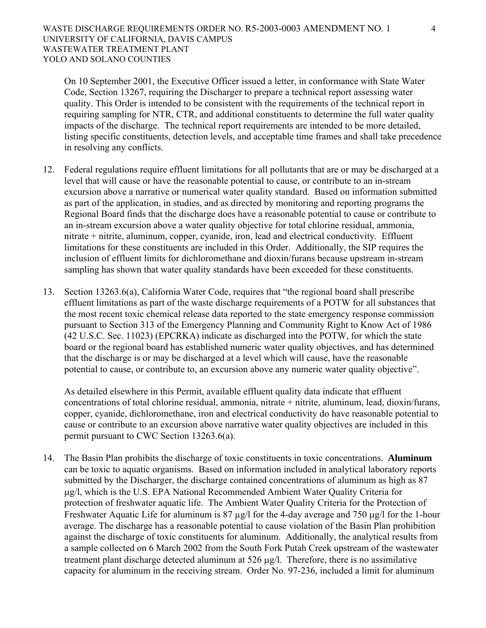On 10 September 2001, the Executive Officer issued a letter, in conformance with State Water Code, Section 13267, requiring the Discharger to prepare a technical report assessing water quality. This Order is intended to be consistent with the requirements of the technical report in requiring sampling for NTR, CTR, and additional constituents to determine the full water quality impacts of the discharge. The technical report requirements are intended to be more detailed, listing specific constituents, detection levels, and acceptable time frames and shall take precedence in resolving any conflicts.

- 12. Federal regulations require effluent limitations for all pollutants that are or may be discharged at a level that will cause or have the reasonable potential to cause, or contribute to an in-stream excursion above a narrative or numerical water quality standard. Based on information submitted as part of the application, in studies, and as directed by monitoring and reporting programs the Regional Board finds that the discharge does have a reasonable potential to cause or contribute to an in-stream excursion above a water quality objective for total chlorine residual, ammonia, nitrate + nitrite, aluminum, copper, cyanide, iron, lead and electrical conductivity. Effluent limitations for these constituents are included in this Order. Additionally, the SIP requires the inclusion of effluent limits for dichloromethane and dioxin/furans because upstream in-stream sampling has shown that water quality standards have been exceeded for these constituents.
- 13. Section 13263.6(a), California Water Code, requires that "the regional board shall prescribe effluent limitations as part of the waste discharge requirements of a POTW for all substances that the most recent toxic chemical release data reported to the state emergency response commission pursuant to Section 313 of the Emergency Planning and Community Right to Know Act of 1986 (42 U.S.C. Sec. 11023) (EPCRKA) indicate as discharged into the POTW, for which the state board or the regional board has established numeric water quality objectives, and has determined that the discharge is or may be discharged at a level which will cause, have the reasonable potential to cause, or contribute to, an excursion above any numeric water quality objective".

As detailed elsewhere in this Permit, available effluent quality data indicate that effluent concentrations of total chlorine residual, ammonia, nitrate + nitrite, aluminum, lead, dioxin/furans, copper, cyanide, dichloromethane, iron and electrical conductivity do have reasonable potential to cause or contribute to an excursion above narrative water quality objectives are included in this permit pursuant to CWC Section 13263.6(a).

14. The Basin Plan prohibits the discharge of toxic constituents in toxic concentrations. **Aluminum** can be toxic to aquatic organisms. Based on information included in analytical laboratory reports submitted by the Discharger, the discharge contained concentrations of aluminum as high as 87 μg/l, which is the U.S. EPA National Recommended Ambient Water Quality Criteria for protection of freshwater aquatic life. The Ambient Water Quality Criteria for the Protection of Freshwater Aquatic Life for aluminum is 87 µg/l for the 4-day average and 750 μg/l for the 1-hour average. The discharge has a reasonable potential to cause violation of the Basin Plan prohibition against the discharge of toxic constituents for aluminum. Additionally, the analytical results from a sample collected on 6 March 2002 from the South Fork Putah Creek upstream of the wastewater treatment plant discharge detected aluminum at 526 μg/l. Therefore, there is no assimilative capacity for aluminum in the receiving stream. Order No. 97-236, included a limit for aluminum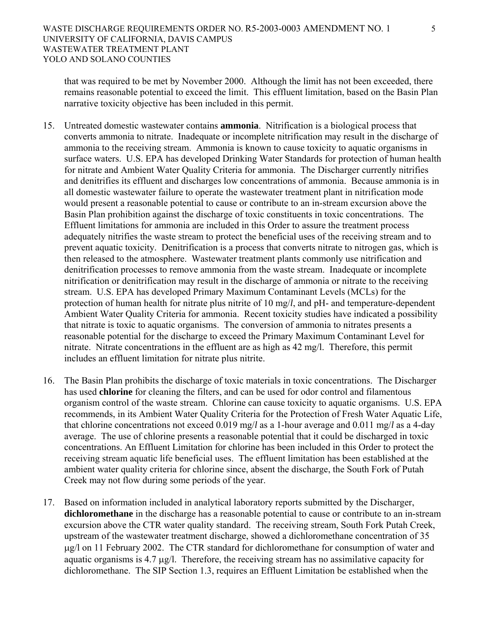that was required to be met by November 2000. Although the limit has not been exceeded, there remains reasonable potential to exceed the limit. This effluent limitation, based on the Basin Plan narrative toxicity objective has been included in this permit.

- 15. Untreated domestic wastewater contains **ammonia**. Nitrification is a biological process that converts ammonia to nitrate. Inadequate or incomplete nitrification may result in the discharge of ammonia to the receiving stream. Ammonia is known to cause toxicity to aquatic organisms in surface waters. U.S. EPA has developed Drinking Water Standards for protection of human health for nitrate and Ambient Water Quality Criteria for ammonia. The Discharger currently nitrifies and denitrifies its effluent and discharges low concentrations of ammonia. Because ammonia is in all domestic wastewater failure to operate the wastewater treatment plant in nitrification mode would present a reasonable potential to cause or contribute to an in-stream excursion above the Basin Plan prohibition against the discharge of toxic constituents in toxic concentrations. The Effluent limitations for ammonia are included in this Order to assure the treatment process adequately nitrifies the waste stream to protect the beneficial uses of the receiving stream and to prevent aquatic toxicity. Denitrification is a process that converts nitrate to nitrogen gas, which is then released to the atmosphere. Wastewater treatment plants commonly use nitrification and denitrification processes to remove ammonia from the waste stream. Inadequate or incomplete nitrification or denitrification may result in the discharge of ammonia or nitrate to the receiving stream. U.S. EPA has developed Primary Maximum Contaminant Levels (MCLs) for the protection of human health for nitrate plus nitrite of 10 mg/*l*, and pH- and temperature-dependent Ambient Water Quality Criteria for ammonia. Recent toxicity studies have indicated a possibility that nitrate is toxic to aquatic organisms. The conversion of ammonia to nitrates presents a reasonable potential for the discharge to exceed the Primary Maximum Contaminant Level for nitrate. Nitrate concentrations in the effluent are as high as 42 mg/l. Therefore, this permit includes an effluent limitation for nitrate plus nitrite.
- 16. The Basin Plan prohibits the discharge of toxic materials in toxic concentrations. The Discharger has used **chlorine** for cleaning the filters, and can be used for odor control and filamentous organism control of the waste stream. Chlorine can cause toxicity to aquatic organisms. U.S. EPA recommends, in its Ambient Water Quality Criteria for the Protection of Fresh Water Aquatic Life, that chlorine concentrations not exceed 0.019 mg/*l* as a 1-hour average and 0.011 mg/*l* as a 4-day average. The use of chlorine presents a reasonable potential that it could be discharged in toxic concentrations. An Effluent Limitation for chlorine has been included in this Order to protect the receiving stream aquatic life beneficial uses. The effluent limitation has been established at the ambient water quality criteria for chlorine since, absent the discharge, the South Fork of Putah Creek may not flow during some periods of the year.
- 17. Based on information included in analytical laboratory reports submitted by the Discharger, **dichloromethane** in the discharge has a reasonable potential to cause or contribute to an in-stream excursion above the CTR water quality standard. The receiving stream, South Fork Putah Creek, upstream of the wastewater treatment discharge, showed a dichloromethane concentration of 35 μg/l on 11 February 2002. The CTR standard for dichloromethane for consumption of water and aquatic organisms is 4.7 μg/l. Therefore, the receiving stream has no assimilative capacity for dichloromethane. The SIP Section 1.3, requires an Effluent Limitation be established when the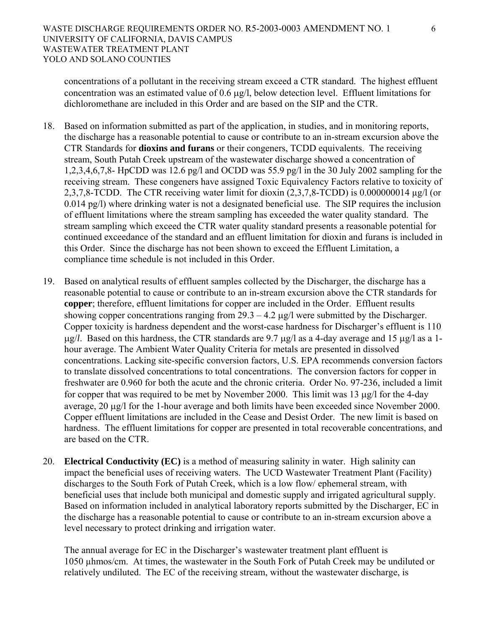concentrations of a pollutant in the receiving stream exceed a CTR standard. The highest effluent concentration was an estimated value of 0.6 μg/l, below detection level. Effluent limitations for dichloromethane are included in this Order and are based on the SIP and the CTR.

- 18. Based on information submitted as part of the application, in studies, and in monitoring reports, the discharge has a reasonable potential to cause or contribute to an in-stream excursion above the CTR Standards for **dioxins and furans** or their congeners, TCDD equivalents. The receiving stream, South Putah Creek upstream of the wastewater discharge showed a concentration of 1,2,3,4,6,7,8- HpCDD was 12.6 pg/l and OCDD was 55.9 pg/l in the 30 July 2002 sampling for the receiving stream. These congeners have assigned Toxic Equivalency Factors relative to toxicity of 2,3,7,8-TCDD. The CTR receiving water limit for dioxin (2,3,7,8-TCDD) is 0.000000014  $\mu$ g/l (or 0.014 pg/l) where drinking water is not a designated beneficial use. The SIP requires the inclusion of effluent limitations where the stream sampling has exceeded the water quality standard. The stream sampling which exceed the CTR water quality standard presents a reasonable potential for continued exceedance of the standard and an effluent limitation for dioxin and furans is included in this Order. Since the discharge has not been shown to exceed the Effluent Limitation, a compliance time schedule is not included in this Order.
- 19. Based on analytical results of effluent samples collected by the Discharger, the discharge has a reasonable potential to cause or contribute to an in-stream excursion above the CTR standards for **copper**; therefore, effluent limitations for copper are included in the Order. Effluent results showing copper concentrations ranging from  $29.3 - 4.2 \mu g/l$  were submitted by the Discharger. Copper toxicity is hardness dependent and the worst-case hardness for Discharger's effluent is 110 μg/*l*. Based on this hardness, the CTR standards are 9.7 μg/l as a 4-day average and 15 μg/l as a 1 hour average. The Ambient Water Quality Criteria for metals are presented in dissolved concentrations. Lacking site-specific conversion factors, U.S. EPA recommends conversion factors to translate dissolved concentrations to total concentrations. The conversion factors for copper in freshwater are 0.960 for both the acute and the chronic criteria. Order No. 97-236, included a limit for copper that was required to be met by November 2000. This limit was 13 μg/l for the 4-day average, 20 μg/l for the 1-hour average and both limits have been exceeded since November 2000. Copper effluent limitations are included in the Cease and Desist Order. The new limit is based on hardness. The effluent limitations for copper are presented in total recoverable concentrations, and are based on the CTR.
- 20. **Electrical Conductivity (EC)** is a method of measuring salinity in water. High salinity can impact the beneficial uses of receiving waters. The UCD Wastewater Treatment Plant (Facility) discharges to the South Fork of Putah Creek, which is a low flow/ ephemeral stream, with beneficial uses that include both municipal and domestic supply and irrigated agricultural supply. Based on information included in analytical laboratory reports submitted by the Discharger, EC in the discharge has a reasonable potential to cause or contribute to an in-stream excursion above a level necessary to protect drinking and irrigation water.

The annual average for EC in the Discharger's wastewater treatment plant effluent is 1050 µhmos/cm. At times, the wastewater in the South Fork of Putah Creek may be undiluted or relatively undiluted. The EC of the receiving stream, without the wastewater discharge, is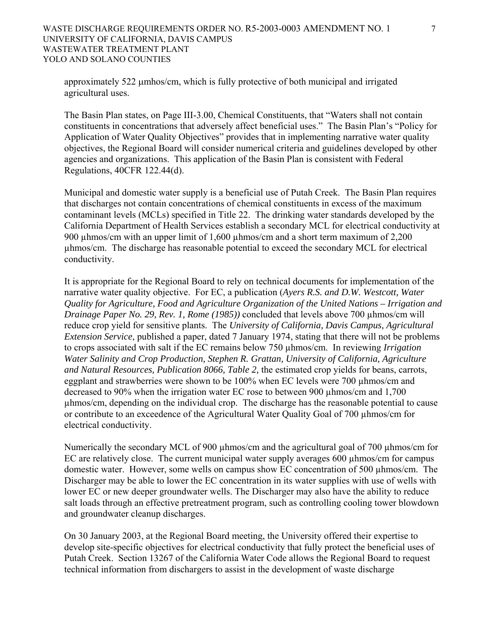### WASTE DISCHARGE REQUIREMENTS ORDER NO. R5-2003-0003 AMENDMENT NO. 1  $\qquad \qquad$  7 UNIVERSITY OF CALIFORNIA, DAVIS CAMPUS WASTEWATER TREATMENT PLANT YOLO AND SOLANO COUNTIES

approximately 522 μmhos/cm, which is fully protective of both municipal and irrigated agricultural uses.

The Basin Plan states, on Page III-3.00, Chemical Constituents, that "Waters shall not contain constituents in concentrations that adversely affect beneficial uses." The Basin Plan's "Policy for Application of Water Quality Objectives" provides that in implementing narrative water quality objectives, the Regional Board will consider numerical criteria and guidelines developed by other agencies and organizations. This application of the Basin Plan is consistent with Federal Regulations, 40CFR 122.44(d).

Municipal and domestic water supply is a beneficial use of Putah Creek. The Basin Plan requires that discharges not contain concentrations of chemical constituents in excess of the maximum contaminant levels (MCLs) specified in Title 22. The drinking water standards developed by the California Department of Health Services establish a secondary MCL for electrical conductivity at 900 µhmos/cm with an upper limit of 1,600 µhmos/cm and a short term maximum of 2,200 µhmos/cm. The discharge has reasonable potential to exceed the secondary MCL for electrical conductivity.

It is appropriate for the Regional Board to rely on technical documents for implementation of the narrative water quality objective. For EC, a publication (*Ayers R.S. and D.W. Westcott, Water Quality for Agriculture, Food and Agriculture Organization of the United Nations – Irrigation and Drainage Paper No. 29, Rev. 1, Rome (1985))* concluded that levels above 700 µhmos/cm will reduce crop yield for sensitive plants. The *University of California, Davis Campus, Agricultural Extension Service*, published a paper, dated 7 January 1974, stating that there will not be problems to crops associated with salt if the EC remains below 750 µhmos/cm. In reviewing *Irrigation Water Salinity and Crop Production, Stephen R. Grattan, University of California, Agriculture and Natural Resources, Publication 8066, Table 2,* the estimated crop yields for beans, carrots, eggplant and strawberries were shown to be 100% when EC levels were 700 µhmos/cm and decreased to 90% when the irrigation water EC rose to between 900 µhmos/cm and 1,700 µhmos/cm, depending on the individual crop. The discharge has the reasonable potential to cause or contribute to an exceedence of the Agricultural Water Quality Goal of 700 µhmos/cm for electrical conductivity.

Numerically the secondary MCL of 900 µhmos/cm and the agricultural goal of 700 µhmos/cm for EC are relatively close. The current municipal water supply averages 600 µhmos/cm for campus domestic water. However, some wells on campus show EC concentration of 500 µhmos/cm. The Discharger may be able to lower the EC concentration in its water supplies with use of wells with lower EC or new deeper groundwater wells. The Discharger may also have the ability to reduce salt loads through an effective pretreatment program, such as controlling cooling tower blowdown and groundwater cleanup discharges.

On 30 January 2003, at the Regional Board meeting, the University offered their expertise to develop site-specific objectives for electrical conductivity that fully protect the beneficial uses of Putah Creek. Section 13267 of the California Water Code allows the Regional Board to request technical information from dischargers to assist in the development of waste discharge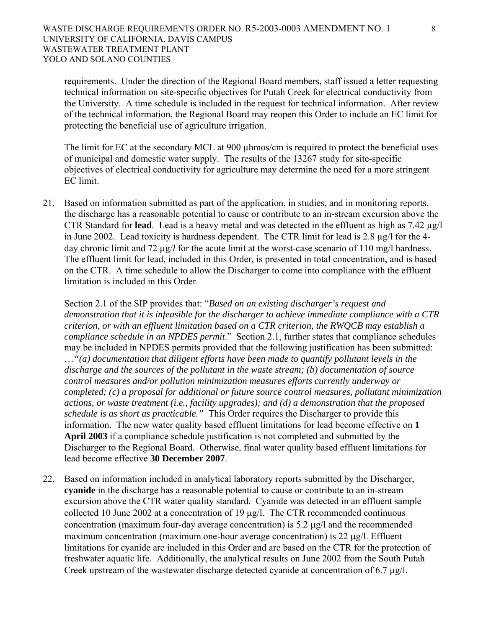requirements. Under the direction of the Regional Board members, staff issued a letter requesting technical information on site-specific objectives for Putah Creek for electrical conductivity from the University. A time schedule is included in the request for technical information. After review of the technical information, the Regional Board may reopen this Order to include an EC limit for protecting the beneficial use of agriculture irrigation.

The limit for EC at the secondary MCL at 900 µhmos/cm is required to protect the beneficial uses of municipal and domestic water supply. The results of the 13267 study for site-specific objectives of electrical conductivity for agriculture may determine the need for a more stringent EC limit.

21. Based on information submitted as part of the application, in studies, and in monitoring reports, the discharge has a reasonable potential to cause or contribute to an in-stream excursion above the CTR Standard for **lead**. Lead is a heavy metal and was detected in the effluent as high as 7.42 µg/l in June 2002. Lead toxicity is hardness dependent. The CTR limit for lead is 2.8 µg/l for the 4 day chronic limit and 72 μg/*l* for the acute limit at the worst-case scenario of 110 mg/l hardness. The effluent limit for lead, included in this Order, is presented in total concentration, and is based on the CTR. A time schedule to allow the Discharger to come into compliance with the effluent limitation is included in this Order.

 Section 2.1 of the SIP provides that: "*Based on an existing discharger's request and demonstration that it is infeasible for the discharger to achieve immediate compliance with a CTR criterion, or with an effluent limitation based on a CTR criterion, the RWQCB may establish a compliance schedule in an NPDES permit*." Section 2.1, further states that compliance schedules may be included in NPDES permits provided that the following justification has been submitted: …*"(a) documentation that diligent efforts have been made to quantify pollutant levels in the discharge and the sources of the pollutant in the waste stream; (b) documentation of source control measures and/or pollution minimization measures efforts currently underway or completed; (c) a proposal for additional or future source control measures, pollutant minimization actions, or waste treatment (i.e., facility upgrades); and (d) a demonstration that the proposed schedule is as short as practicable."* This Order requires the Discharger to provide this information. The new water quality based effluent limitations for lead become effective on **1 April 2003** if a compliance schedule justification is not completed and submitted by the Discharger to the Regional Board. Otherwise, final water quality based effluent limitations for lead become effective **30 December 2007**.

22. Based on information included in analytical laboratory reports submitted by the Discharger, **cyanide** in the discharge has a reasonable potential to cause or contribute to an in-stream excursion above the CTR water quality standard. Cyanide was detected in an effluent sample collected 10 June 2002 at a concentration of 19 μg/l. The CTR recommended continuous concentration (maximum four-day average concentration) is 5.2 μg/l and the recommended maximum concentration (maximum one-hour average concentration) is 22 μg/l. Effluent limitations for cyanide are included in this Order and are based on the CTR for the protection of freshwater aquatic life. Additionally, the analytical results on June 2002 from the South Putah Creek upstream of the wastewater discharge detected cyanide at concentration of 6.7 μg/l.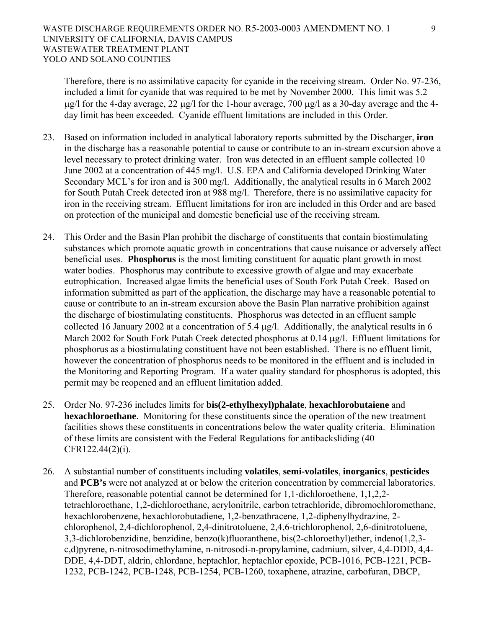Therefore, there is no assimilative capacity for cyanide in the receiving stream. Order No. 97-236, included a limit for cyanide that was required to be met by November 2000. This limit was 5.2 μg/l for the 4-day average, 22 μg/l for the 1-hour average, 700 μg/l as a 30-day average and the 4 day limit has been exceeded. Cyanide effluent limitations are included in this Order.

- 23. Based on information included in analytical laboratory reports submitted by the Discharger, **iron** in the discharge has a reasonable potential to cause or contribute to an in-stream excursion above a level necessary to protect drinking water. Iron was detected in an effluent sample collected 10 June 2002 at a concentration of 445 mg/l. U.S. EPA and California developed Drinking Water Secondary MCL's for iron and is 300 mg/l. Additionally, the analytical results in 6 March 2002 for South Putah Creek detected iron at 988 mg/l. Therefore, there is no assimilative capacity for iron in the receiving stream. Effluent limitations for iron are included in this Order and are based on protection of the municipal and domestic beneficial use of the receiving stream.
- 24. This Order and the Basin Plan prohibit the discharge of constituents that contain biostimulating substances which promote aquatic growth in concentrations that cause nuisance or adversely affect beneficial uses. **Phosphorus** is the most limiting constituent for aquatic plant growth in most water bodies. Phosphorus may contribute to excessive growth of algae and may exacerbate eutrophication. Increased algae limits the beneficial uses of South Fork Putah Creek. Based on information submitted as part of the application, the discharge may have a reasonable potential to cause or contribute to an in-stream excursion above the Basin Plan narrative prohibition against the discharge of biostimulating constituents. Phosphorus was detected in an effluent sample collected 16 January 2002 at a concentration of 5.4 μg/l. Additionally, the analytical results in 6 March 2002 for South Fork Putah Creek detected phosphorus at 0.14 μg/l. Effluent limitations for phosphorus as a biostimulating constituent have not been established. There is no effluent limit, however the concentration of phosphorus needs to be monitored in the effluent and is included in the Monitoring and Reporting Program. If a water quality standard for phosphorus is adopted, this permit may be reopened and an effluent limitation added.
- 25. Order No. 97-236 includes limits for **bis(2-ethylhexyl)phalate**, **hexachlorobutaiene** and **hexachloroethane**. Monitoring for these constituents since the operation of the new treatment facilities shows these constituents in concentrations below the water quality criteria. Elimination of these limits are consistent with the Federal Regulations for antibacksliding (40 CFR122.44(2)(i).
- 26. A substantial number of constituents including **volatiles**, **semi-volatiles**, **inorganics**, **pesticides** and **PCB's** were not analyzed at or below the criterion concentration by commercial laboratories. Therefore, reasonable potential cannot be determined for 1,1-dichloroethene, 1,1,2,2 tetrachloroethane, 1,2-dichloroethane, acrylonitrile, carbon tetrachloride, dibromochloromethane, hexachlorobenzene, hexachlorobutadiene, 1,2-benzathracene, 1,2-diphenylhydrazine, 2 chlorophenol, 2,4-dichlorophenol, 2,4-dinitrotoluene, 2,4,6-trichlorophenol, 2,6-dinitrotoluene, 3,3-dichlorobenzidine, benzidine, benzo(k)fluoranthene, bis(2-chloroethyl)ether, indeno(1,2,3 c,d)pyrene, n-nitrosodimethylamine, n-nitrosodi-n-propylamine, cadmium, silver, 4,4-DDD, 4,4- DDE, 4,4-DDT, aldrin, chlordane, heptachlor, heptachlor epoxide, PCB-1016, PCB-1221, PCB-1232, PCB-1242, PCB-1248, PCB-1254, PCB-1260, toxaphene, atrazine, carbofuran, DBCP,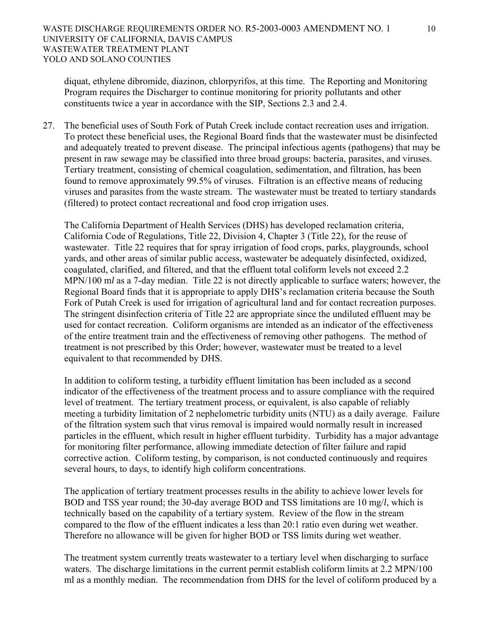diquat, ethylene dibromide, diazinon, chlorpyrifos, at this time. The Reporting and Monitoring Program requires the Discharger to continue monitoring for priority pollutants and other constituents twice a year in accordance with the SIP, Sections 2.3 and 2.4.

27. The beneficial uses of South Fork of Putah Creek include contact recreation uses and irrigation. To protect these beneficial uses, the Regional Board finds that the wastewater must be disinfected and adequately treated to prevent disease. The principal infectious agents (pathogens) that may be present in raw sewage may be classified into three broad groups: bacteria, parasites, and viruses. Tertiary treatment, consisting of chemical coagulation, sedimentation, and filtration, has been found to remove approximately 99.5% of viruses. Filtration is an effective means of reducing viruses and parasites from the waste stream. The wastewater must be treated to tertiary standards (filtered) to protect contact recreational and food crop irrigation uses.

The California Department of Health Services (DHS) has developed reclamation criteria, California Code of Regulations, Title 22, Division 4, Chapter 3 (Title 22), for the reuse of wastewater. Title 22 requires that for spray irrigation of food crops, parks, playgrounds, school yards, and other areas of similar public access, wastewater be adequately disinfected, oxidized, coagulated, clarified, and filtered, and that the effluent total coliform levels not exceed 2.2 MPN/100 m*l* as a 7-day median. Title 22 is not directly applicable to surface waters; however, the Regional Board finds that it is appropriate to apply DHS's reclamation criteria because the South Fork of Putah Creek is used for irrigation of agricultural land and for contact recreation purposes. The stringent disinfection criteria of Title 22 are appropriate since the undiluted effluent may be used for contact recreation. Coliform organisms are intended as an indicator of the effectiveness of the entire treatment train and the effectiveness of removing other pathogens. The method of treatment is not prescribed by this Order; however, wastewater must be treated to a level equivalent to that recommended by DHS.

In addition to coliform testing, a turbidity effluent limitation has been included as a second indicator of the effectiveness of the treatment process and to assure compliance with the required level of treatment. The tertiary treatment process, or equivalent, is also capable of reliably meeting a turbidity limitation of 2 nephelometric turbidity units (NTU) as a daily average. Failure of the filtration system such that virus removal is impaired would normally result in increased particles in the effluent, which result in higher effluent turbidity. Turbidity has a major advantage for monitoring filter performance, allowing immediate detection of filter failure and rapid corrective action. Coliform testing, by comparison, is not conducted continuously and requires several hours, to days, to identify high coliform concentrations.

The application of tertiary treatment processes results in the ability to achieve lower levels for BOD and TSS year round; the 30-day average BOD and TSS limitations are 10 mg/*l*, which is technically based on the capability of a tertiary system. Review of the flow in the stream compared to the flow of the effluent indicates a less than 20:1 ratio even during wet weather. Therefore no allowance will be given for higher BOD or TSS limits during wet weather.

The treatment system currently treats wastewater to a tertiary level when discharging to surface waters. The discharge limitations in the current permit establish coliform limits at 2.2 MPN/100 ml as a monthly median. The recommendation from DHS for the level of coliform produced by a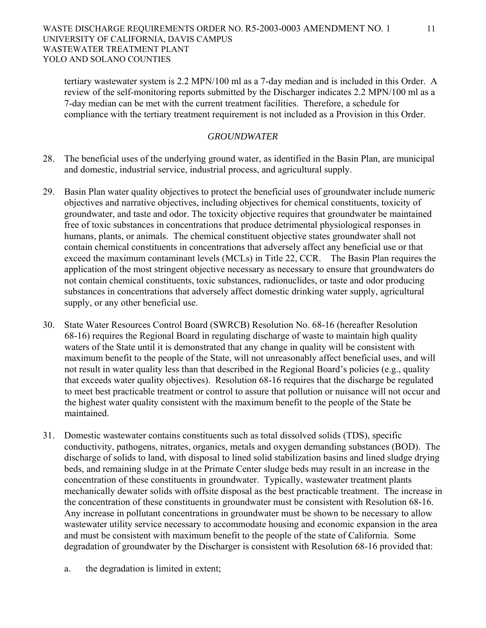tertiary wastewater system is 2.2 MPN/100 ml as a 7-day median and is included in this Order. A review of the self-monitoring reports submitted by the Discharger indicates 2.2 MPN/100 ml as a 7-day median can be met with the current treatment facilities. Therefore, a schedule for compliance with the tertiary treatment requirement is not included as a Provision in this Order.

## *GROUNDWATER*

- 28. The beneficial uses of the underlying ground water, as identified in the Basin Plan, are municipal and domestic, industrial service, industrial process, and agricultural supply.
- 29. Basin Plan water quality objectives to protect the beneficial uses of groundwater include numeric objectives and narrative objectives, including objectives for chemical constituents, toxicity of groundwater, and taste and odor. The toxicity objective requires that groundwater be maintained free of toxic substances in concentrations that produce detrimental physiological responses in humans, plants, or animals. The chemical constituent objective states groundwater shall not contain chemical constituents in concentrations that adversely affect any beneficial use or that exceed the maximum contaminant levels (MCLs) in Title 22, CCR. The Basin Plan requires the application of the most stringent objective necessary as necessary to ensure that groundwaters do not contain chemical constituents, toxic substances, radionuclides, or taste and odor producing substances in concentrations that adversely affect domestic drinking water supply, agricultural supply, or any other beneficial use.
- 30. State Water Resources Control Board (SWRCB) Resolution No. 68-16 (hereafter Resolution 68-16) requires the Regional Board in regulating discharge of waste to maintain high quality waters of the State until it is demonstrated that any change in quality will be consistent with maximum benefit to the people of the State, will not unreasonably affect beneficial uses, and will not result in water quality less than that described in the Regional Board's policies (e.g., quality that exceeds water quality objectives). Resolution 68-16 requires that the discharge be regulated to meet best practicable treatment or control to assure that pollution or nuisance will not occur and the highest water quality consistent with the maximum benefit to the people of the State be maintained.
- 31. Domestic wastewater contains constituents such as total dissolved solids (TDS), specific conductivity, pathogens, nitrates, organics, metals and oxygen demanding substances (BOD). The discharge of solids to land, with disposal to lined solid stabilization basins and lined sludge drying beds, and remaining sludge in at the Primate Center sludge beds may result in an increase in the concentration of these constituents in groundwater. Typically, wastewater treatment plants mechanically dewater solids with offsite disposal as the best practicable treatment. The increase in the concentration of these constituents in groundwater must be consistent with Resolution 68-16. Any increase in pollutant concentrations in groundwater must be shown to be necessary to allow wastewater utility service necessary to accommodate housing and economic expansion in the area and must be consistent with maximum benefit to the people of the state of California. Some degradation of groundwater by the Discharger is consistent with Resolution 68-16 provided that:
	- a. the degradation is limited in extent;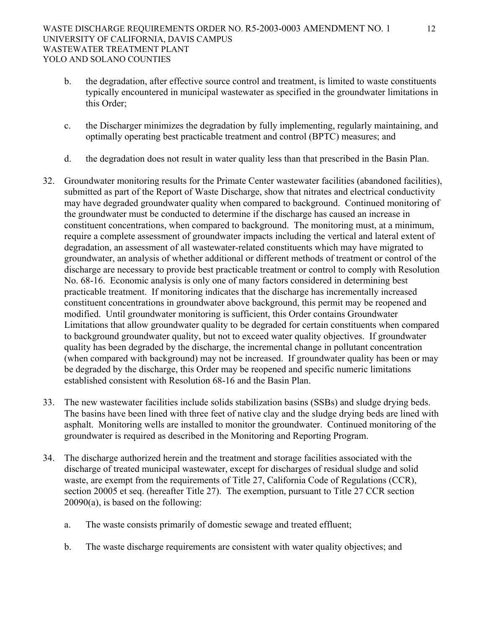### WASTE DISCHARGE REQUIREMENTS ORDER NO. R5-2003-0003 AMENDMENT NO. 1 12 UNIVERSITY OF CALIFORNIA, DAVIS CAMPUS WASTEWATER TREATMENT PLANT YOLO AND SOLANO COUNTIES

- b. the degradation, after effective source control and treatment, is limited to waste constituents typically encountered in municipal wastewater as specified in the groundwater limitations in this Order;
- c. the Discharger minimizes the degradation by fully implementing, regularly maintaining, and optimally operating best practicable treatment and control (BPTC) measures; and
- d. the degradation does not result in water quality less than that prescribed in the Basin Plan.
- 32. Groundwater monitoring results for the Primate Center wastewater facilities (abandoned facilities), submitted as part of the Report of Waste Discharge, show that nitrates and electrical conductivity may have degraded groundwater quality when compared to background. Continued monitoring of the groundwater must be conducted to determine if the discharge has caused an increase in constituent concentrations, when compared to background. The monitoring must, at a minimum, require a complete assessment of groundwater impacts including the vertical and lateral extent of degradation, an assessment of all wastewater-related constituents which may have migrated to groundwater, an analysis of whether additional or different methods of treatment or control of the discharge are necessary to provide best practicable treatment or control to comply with Resolution No. 68-16. Economic analysis is only one of many factors considered in determining best practicable treatment. If monitoring indicates that the discharge has incrementally increased constituent concentrations in groundwater above background, this permit may be reopened and modified. Until groundwater monitoring is sufficient, this Order contains Groundwater Limitations that allow groundwater quality to be degraded for certain constituents when compared to background groundwater quality, but not to exceed water quality objectives. If groundwater quality has been degraded by the discharge, the incremental change in pollutant concentration (when compared with background) may not be increased. If groundwater quality has been or may be degraded by the discharge, this Order may be reopened and specific numeric limitations established consistent with Resolution 68-16 and the Basin Plan.
- 33. The new wastewater facilities include solids stabilization basins (SSBs) and sludge drying beds. The basins have been lined with three feet of native clay and the sludge drying beds are lined with asphalt. Monitoring wells are installed to monitor the groundwater. Continued monitoring of the groundwater is required as described in the Monitoring and Reporting Program.
- 34. The discharge authorized herein and the treatment and storage facilities associated with the discharge of treated municipal wastewater, except for discharges of residual sludge and solid waste, are exempt from the requirements of Title 27, California Code of Regulations (CCR), section 20005 et seq. (hereafter Title 27). The exemption, pursuant to Title 27 CCR section 20090(a), is based on the following:
	- a. The waste consists primarily of domestic sewage and treated effluent;
	- b. The waste discharge requirements are consistent with water quality objectives; and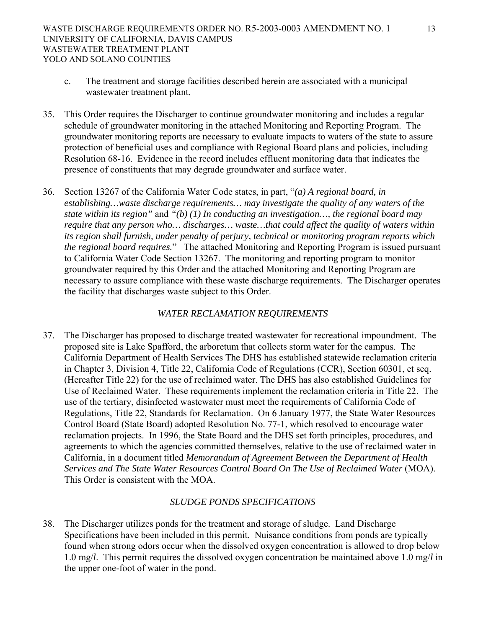- c. The treatment and storage facilities described herein are associated with a municipal wastewater treatment plant.
- 35. This Order requires the Discharger to continue groundwater monitoring and includes a regular schedule of groundwater monitoring in the attached Monitoring and Reporting Program. The groundwater monitoring reports are necessary to evaluate impacts to waters of the state to assure protection of beneficial uses and compliance with Regional Board plans and policies, including Resolution 68-16. Evidence in the record includes effluent monitoring data that indicates the presence of constituents that may degrade groundwater and surface water.
- 36. Section 13267 of the California Water Code states, in part, "*(a) A regional board, in establishing…waste discharge requirements… may investigate the quality of any waters of the state within its region"* and *"(b) (1) In conducting an investigation…, the regional board may require that any person who… discharges… waste…that could affect the quality of waters within its region shall furnish, under penalty of perjury, technical or monitoring program reports which the regional board requires.*"The attached Monitoring and Reporting Program is issued pursuant to California Water Code Section 13267. The monitoring and reporting program to monitor groundwater required by this Order and the attached Monitoring and Reporting Program are necessary to assure compliance with these waste discharge requirements. The Discharger operates the facility that discharges waste subject to this Order.

## *WATER RECLAMATION REQUIREMENTS*

37. The Discharger has proposed to discharge treated wastewater for recreational impoundment. The proposed site is Lake Spafford, the arboretum that collects storm water for the campus. The California Department of Health Services The DHS has established statewide reclamation criteria in Chapter 3, Division 4, Title 22, California Code of Regulations (CCR), Section 60301, et seq. (Hereafter Title 22) for the use of reclaimed water. The DHS has also established Guidelines for Use of Reclaimed Water. These requirements implement the reclamation criteria in Title 22. The use of the tertiary, disinfected wastewater must meet the requirements of California Code of Regulations, Title 22, Standards for Reclamation. On 6 January 1977, the State Water Resources Control Board (State Board) adopted Resolution No. 77-1, which resolved to encourage water reclamation projects. In 1996, the State Board and the DHS set forth principles, procedures, and agreements to which the agencies committed themselves, relative to the use of reclaimed water in California, in a document titled *Memorandum of Agreement Between the Department of Health Services and The State Water Resources Control Board On The Use of Reclaimed Water* (MOA). This Order is consistent with the MOA.

## *SLUDGE PONDS SPECIFICATIONS*

38. The Discharger utilizes ponds for the treatment and storage of sludge. Land Discharge Specifications have been included in this permit. Nuisance conditions from ponds are typically found when strong odors occur when the dissolved oxygen concentration is allowed to drop below 1.0 mg/*l*. This permit requires the dissolved oxygen concentration be maintained above 1.0 mg/*l* in the upper one-foot of water in the pond.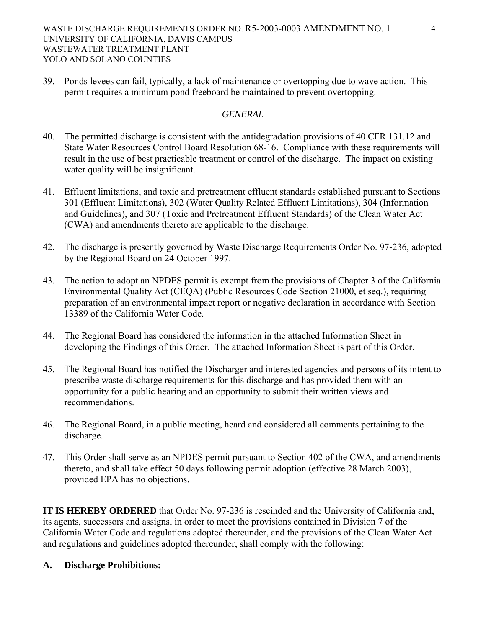## WASTE DISCHARGE REQUIREMENTS ORDER NO. R5-2003-0003 AMENDMENT NO. 1 14 UNIVERSITY OF CALIFORNIA, DAVIS CAMPUS WASTEWATER TREATMENT PLANT YOLO AND SOLANO COUNTIES

39. Ponds levees can fail, typically, a lack of maintenance or overtopping due to wave action. This permit requires a minimum pond freeboard be maintained to prevent overtopping.

## *GENERAL*

- 40. The permitted discharge is consistent with the antidegradation provisions of 40 CFR 131.12 and State Water Resources Control Board Resolution 68-16. Compliance with these requirements will result in the use of best practicable treatment or control of the discharge. The impact on existing water quality will be insignificant.
- 41. Effluent limitations, and toxic and pretreatment effluent standards established pursuant to Sections 301 (Effluent Limitations), 302 (Water Quality Related Effluent Limitations), 304 (Information and Guidelines), and 307 (Toxic and Pretreatment Effluent Standards) of the Clean Water Act (CWA) and amendments thereto are applicable to the discharge.
- 42. The discharge is presently governed by Waste Discharge Requirements Order No. 97-236, adopted by the Regional Board on 24 October 1997.
- 43. The action to adopt an NPDES permit is exempt from the provisions of Chapter 3 of the California Environmental Quality Act (CEQA) (Public Resources Code Section 21000, et seq.), requiring preparation of an environmental impact report or negative declaration in accordance with Section 13389 of the California Water Code.
- 44. The Regional Board has considered the information in the attached Information Sheet in developing the Findings of this Order. The attached Information Sheet is part of this Order.
- 45. The Regional Board has notified the Discharger and interested agencies and persons of its intent to prescribe waste discharge requirements for this discharge and has provided them with an opportunity for a public hearing and an opportunity to submit their written views and recommendations.
- 46. The Regional Board, in a public meeting, heard and considered all comments pertaining to the discharge.
- 47. This Order shall serve as an NPDES permit pursuant to Section 402 of the CWA, and amendments thereto, and shall take effect 50 days following permit adoption (effective 28 March 2003), provided EPA has no objections.

**IT IS HEREBY ORDERED** that Order No. 97-236 is rescinded and the University of California and, its agents, successors and assigns, in order to meet the provisions contained in Division 7 of the California Water Code and regulations adopted thereunder, and the provisions of the Clean Water Act and regulations and guidelines adopted thereunder, shall comply with the following:

### **A. Discharge Prohibitions:**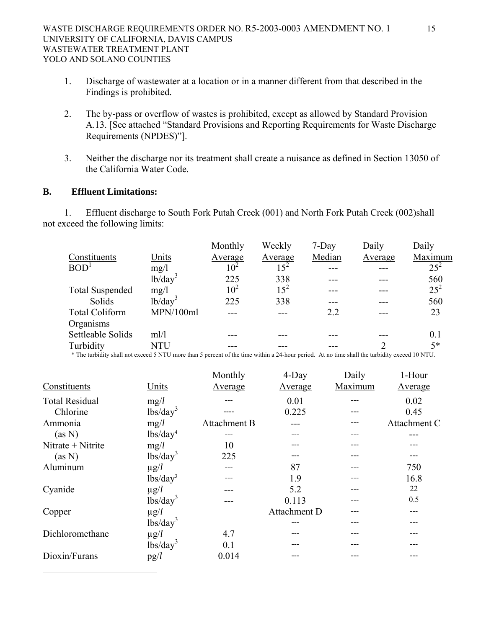- 1. Discharge of wastewater at a location or in a manner different from that described in the Findings is prohibited.
- 2. The by-pass or overflow of wastes is prohibited, except as allowed by Standard Provision A.13. [See attached "Standard Provisions and Reporting Requirements for Waste Discharge Requirements (NPDES)"].
- 3. Neither the discharge nor its treatment shall create a nuisance as defined in Section 13050 of the California Water Code.

### **B. Effluent Limitations:**

1

1. Effluent discharge to South Fork Putah Creek (001) and North Fork Putah Creek (002)shall not exceed the following limits:

|                        |              | Monthly         | Weekly          | $7$ -Day | Daily   | Daily    |
|------------------------|--------------|-----------------|-----------------|----------|---------|----------|
| Constituents           | Units        | Average         | Average         | Median   | Average | Maximum  |
| BOD <sup>1</sup>       | mg/1         | 10 <sup>2</sup> | 15 <sup>2</sup> |          |         | $25^{2}$ |
|                        | $1b/day^3$   | 225             | 338             |          |         | 560      |
| <b>Total Suspended</b> | mg/1         | $10^2$          | $15^2$          |          |         | $25^{2}$ |
| Solids                 | $1b/day^3$   | 225             | 338             |          |         | 560      |
| <b>Total Coliform</b>  | MPN/100ml    |                 |                 | 2.2      |         | 23       |
| Organisms              |              |                 |                 |          |         |          |
| Settleable Solids      | m!/l         |                 |                 |          |         | 0.1      |
| Turbidity              | NTU          |                 |                 |          |         | $5*$     |
|                        | . <i>. .</i> |                 |                 |          |         |          |

\* The turbidity shall not exceed 5 NTU more than 5 percent of the time within a 24-hour period. At no time shall the turbidity exceed 10 NTU.

|                       |                                                | Monthly      | $4$ -Day     | Daily   | 1-Hour       |
|-----------------------|------------------------------------------------|--------------|--------------|---------|--------------|
| Constituents          | Units                                          | Average      | Average      | Maximum | Average      |
| <b>Total Residual</b> | mg/l                                           |              | 0.01         |         | 0.02         |
| Chlorine              | lbs/day <sup>3</sup>                           |              | 0.225        |         | 0.45         |
| Ammonia               | mg/l                                           | Attachment B |              |         | Attachment C |
| (as N)                | lbs/day <sup>4</sup>                           |              |              |         |              |
| Nitrate + Nitrite     | mg/l                                           | 10           |              |         |              |
| (as N)                | lbs/day <sup>3</sup>                           | 225          |              |         |              |
| Aluminum              | $\mu$ g/ $l$                                   |              | 87           |         | 750          |
|                       | lbs/day <sup>3</sup>                           |              | 1.9          |         | 16.8         |
| Cyanide               | $\mu$ g/ $l$                                   |              | 5.2          | ---     | 22           |
|                       | lbs/day <sup>3</sup>                           |              | 0.113        | ---     | 0.5          |
| Copper                | $\mu$ g/ $l$                                   |              | Attachment D |         |              |
|                       | $\frac{1}{\text{bs}}\left(\text{day}^3\right)$ |              |              |         |              |
| Dichloromethane       | $\mu$ g/l                                      | 4.7          |              |         |              |
|                       | $\frac{1}{\text{bs}}\text{day}^3$              | 0.1          |              |         |              |
| Dioxin/Furans         | pg/l                                           | 0.014        |              |         |              |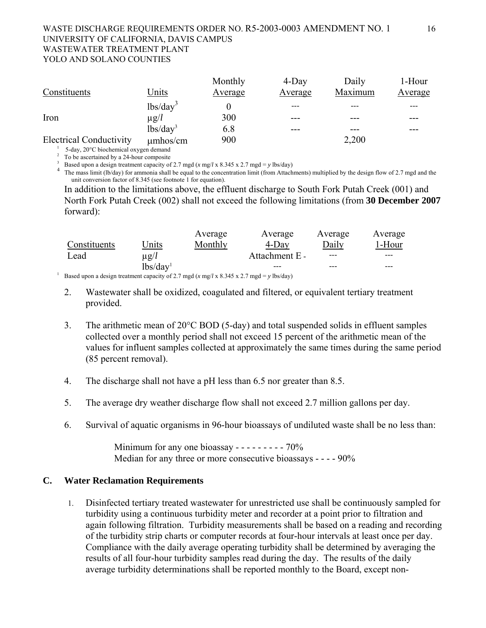### WASTE DISCHARGE REQUIREMENTS ORDER NO. R5-2003-0003 AMENDMENT NO. 1 16 UNIVERSITY OF CALIFORNIA, DAVIS CAMPUS WASTEWATER TREATMENT PLANT YOLO AND SOLANO COUNTIES

|                                       |               | Monthly | $4$ -Day | Daily   | 1-Hour  |
|---------------------------------------|---------------|---------|----------|---------|---------|
| Constituents                          | Units         | Average | Average  | Maximum | Average |
|                                       | $lbs/day^3$   |         |          |         |         |
| Iron                                  | $\mu$ g/ $l$  | 300     |          |         |         |
|                                       | $lbs/day^3$   | 6.8     |          |         |         |
| <b>Electrical Conductivity</b>        | $\mu$ mhos/cm | 900     |          | 2,200   |         |
| 5-day, 20°C biochemical oxygen demand |               |         |          |         |         |

 $\frac{2}{3}$  To be ascertained by a 24-hour composite<br> $\frac{3}{2}$  Besed was a deciment restmant expectively

Based upon a design treatment capacity of 2.7 mgd ( $x$  mg/l  $x$  8.345  $x$  2.7 mgd =  $y$  lbs/day)<br>The mass limit (lb/day) for ammonia shall be equal to the concentration limit (from Attachments) multiplied by the design fl unit conversion factor of 8.345 (see footnote 1 for equation).

In addition to the limitations above, the effluent discharge to South Fork Putah Creek (001) and North Fork Putah Creek (002) shall not exceed the following limitations (from **30 December 2007** forward):

|                                                                                          |                      | Average | Average        | Average | Average |
|------------------------------------------------------------------------------------------|----------------------|---------|----------------|---------|---------|
| Constituents                                                                             | Jnits                | Monthly | 4-Day          | Daily   | 1-Hour  |
| Lead                                                                                     | $\mu$ g/l            |         | Attachment E - | ---     |         |
|                                                                                          | lbs/day <sup>1</sup> |         |                |         |         |
| Based upon a design treatment capacity of 2.7 mgd (x mg/l x 8.345 x 2.7 mgd = y lbs/day) |                      |         |                |         |         |

- 2. Wastewater shall be oxidized, coagulated and filtered, or equivalent tertiary treatment provided.
- 3. The arithmetic mean of 20°C BOD (5-day) and total suspended solids in effluent samples collected over a monthly period shall not exceed 15 percent of the arithmetic mean of the values for influent samples collected at approximately the same times during the same period (85 percent removal).
- 4. The discharge shall not have a pH less than 6.5 nor greater than 8.5.
- 5. The average dry weather discharge flow shall not exceed 2.7 million gallons per day.
- 6. Survival of aquatic organisms in 96-hour bioassays of undiluted waste shall be no less than:

Minimum for any one bioassay  $- - - - - - - - - - - - -$ Median for any three or more consecutive bioassays - - - - 90%

## **C. Water Reclamation Requirements**

1. Disinfected tertiary treated wastewater for unrestricted use shall be continuously sampled for turbidity using a continuous turbidity meter and recorder at a point prior to filtration and again following filtration. Turbidity measurements shall be based on a reading and recording of the turbidity strip charts or computer records at four-hour intervals at least once per day. Compliance with the daily average operating turbidity shall be determined by averaging the results of all four-hour turbidity samples read during the day. The results of the daily average turbidity determinations shall be reported monthly to the Board, except non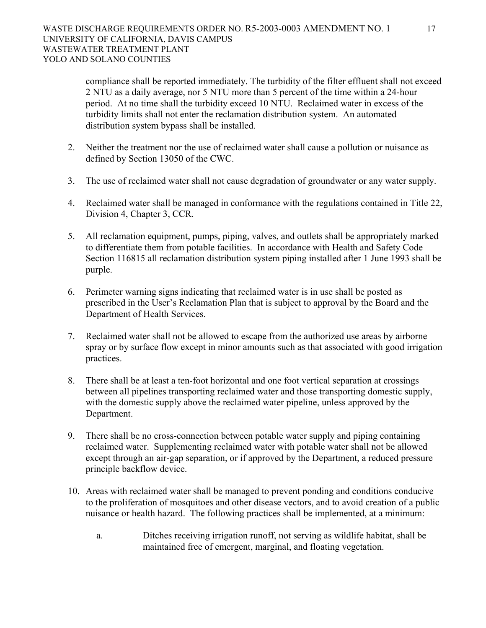compliance shall be reported immediately. The turbidity of the filter effluent shall not exceed 2 NTU as a daily average, nor 5 NTU more than 5 percent of the time within a 24-hour period. At no time shall the turbidity exceed 10 NTU. Reclaimed water in excess of the turbidity limits shall not enter the reclamation distribution system. An automated distribution system bypass shall be installed.

- 2. Neither the treatment nor the use of reclaimed water shall cause a pollution or nuisance as defined by Section 13050 of the CWC.
- 3. The use of reclaimed water shall not cause degradation of groundwater or any water supply.
- 4. Reclaimed water shall be managed in conformance with the regulations contained in Title 22, Division 4, Chapter 3, CCR.
- 5. All reclamation equipment, pumps, piping, valves, and outlets shall be appropriately marked to differentiate them from potable facilities. In accordance with Health and Safety Code Section 116815 all reclamation distribution system piping installed after 1 June 1993 shall be purple.
- 6. Perimeter warning signs indicating that reclaimed water is in use shall be posted as prescribed in the User's Reclamation Plan that is subject to approval by the Board and the Department of Health Services.
- 7. Reclaimed water shall not be allowed to escape from the authorized use areas by airborne spray or by surface flow except in minor amounts such as that associated with good irrigation practices.
- 8. There shall be at least a ten-foot horizontal and one foot vertical separation at crossings between all pipelines transporting reclaimed water and those transporting domestic supply, with the domestic supply above the reclaimed water pipeline, unless approved by the Department.
- 9. There shall be no cross-connection between potable water supply and piping containing reclaimed water. Supplementing reclaimed water with potable water shall not be allowed except through an air-gap separation, or if approved by the Department, a reduced pressure principle backflow device.
- 10. Areas with reclaimed water shall be managed to prevent ponding and conditions conducive to the proliferation of mosquitoes and other disease vectors, and to avoid creation of a public nuisance or health hazard. The following practices shall be implemented, at a minimum:
	- a. Ditches receiving irrigation runoff, not serving as wildlife habitat, shall be maintained free of emergent, marginal, and floating vegetation.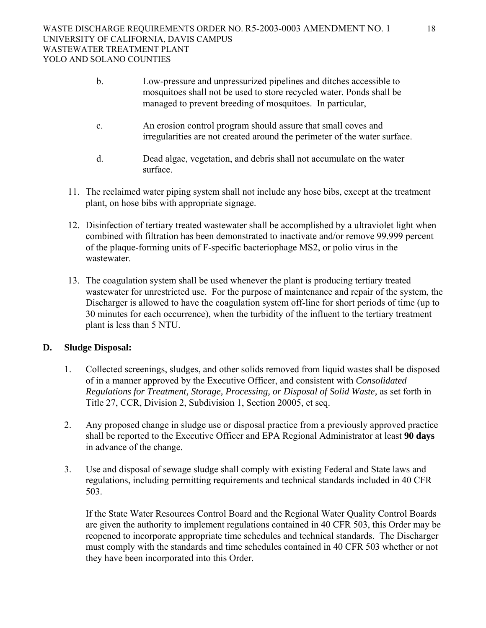- b. Low-pressure and unpressurized pipelines and ditches accessible to mosquitoes shall not be used to store recycled water. Ponds shall be managed to prevent breeding of mosquitoes. In particular,
- c. An erosion control program should assure that small coves and irregularities are not created around the perimeter of the water surface.
- d. Dead algae, vegetation, and debris shall not accumulate on the water surface.
- 11. The reclaimed water piping system shall not include any hose bibs, except at the treatment plant, on hose bibs with appropriate signage.
- 12. Disinfection of tertiary treated wastewater shall be accomplished by a ultraviolet light when combined with filtration has been demonstrated to inactivate and/or remove 99.999 percent of the plaque-forming units of F-specific bacteriophage MS2, or polio virus in the wastewater.
- 13. The coagulation system shall be used whenever the plant is producing tertiary treated wastewater for unrestricted use. For the purpose of maintenance and repair of the system, the Discharger is allowed to have the coagulation system off-line for short periods of time (up to 30 minutes for each occurrence), when the turbidity of the influent to the tertiary treatment plant is less than 5 NTU.

## **D. Sludge Disposal:**

- 1. Collected screenings, sludges, and other solids removed from liquid wastes shall be disposed of in a manner approved by the Executive Officer, and consistent with *Consolidated Regulations for Treatment, Storage, Processing, or Disposal of Solid Waste,* as set forth in Title 27, CCR, Division 2, Subdivision 1, Section 20005, et seq.
- 2. Any proposed change in sludge use or disposal practice from a previously approved practice shall be reported to the Executive Officer and EPA Regional Administrator at least **90 days** in advance of the change.
- 3. Use and disposal of sewage sludge shall comply with existing Federal and State laws and regulations, including permitting requirements and technical standards included in 40 CFR 503.

If the State Water Resources Control Board and the Regional Water Quality Control Boards are given the authority to implement regulations contained in 40 CFR 503, this Order may be reopened to incorporate appropriate time schedules and technical standards. The Discharger must comply with the standards and time schedules contained in 40 CFR 503 whether or not they have been incorporated into this Order.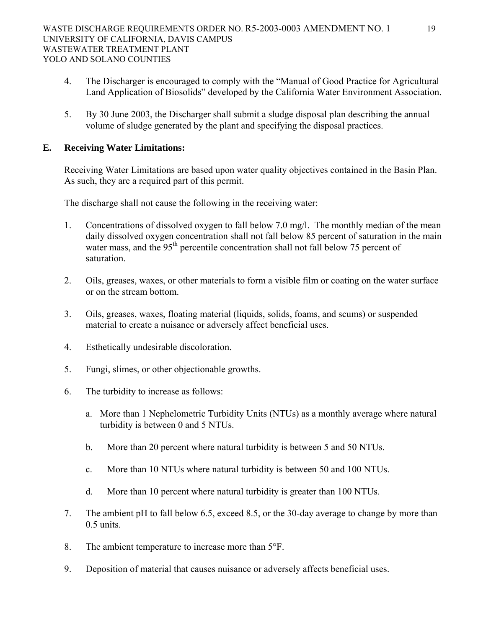- 4. The Discharger is encouraged to comply with the "Manual of Good Practice for Agricultural Land Application of Biosolids" developed by the California Water Environment Association.
- 5. By 30 June 2003, the Discharger shall submit a sludge disposal plan describing the annual volume of sludge generated by the plant and specifying the disposal practices.

## **E. Receiving Water Limitations:**

Receiving Water Limitations are based upon water quality objectives contained in the Basin Plan. As such, they are a required part of this permit.

The discharge shall not cause the following in the receiving water:

- 1. Concentrations of dissolved oxygen to fall below 7.0 mg/l. The monthly median of the mean daily dissolved oxygen concentration shall not fall below 85 percent of saturation in the main water mass, and the  $95<sup>th</sup>$  percentile concentration shall not fall below 75 percent of saturation.
- 2. Oils, greases, waxes, or other materials to form a visible film or coating on the water surface or on the stream bottom.
- 3. Oils, greases, waxes, floating material (liquids, solids, foams, and scums) or suspended material to create a nuisance or adversely affect beneficial uses.
- 4. Esthetically undesirable discoloration.
- 5. Fungi, slimes, or other objectionable growths.
- 6. The turbidity to increase as follows:
	- a. More than 1 Nephelometric Turbidity Units (NTUs) as a monthly average where natural turbidity is between 0 and 5 NTUs.
	- b. More than 20 percent where natural turbidity is between 5 and 50 NTUs.
	- c. More than 10 NTUs where natural turbidity is between 50 and 100 NTUs.
	- d. More than 10 percent where natural turbidity is greater than 100 NTUs.
- 7. The ambient pH to fall below 6.5, exceed 8.5, or the 30-day average to change by more than 0.5 units.
- 8. The ambient temperature to increase more than 5°F.
- 9. Deposition of material that causes nuisance or adversely affects beneficial uses.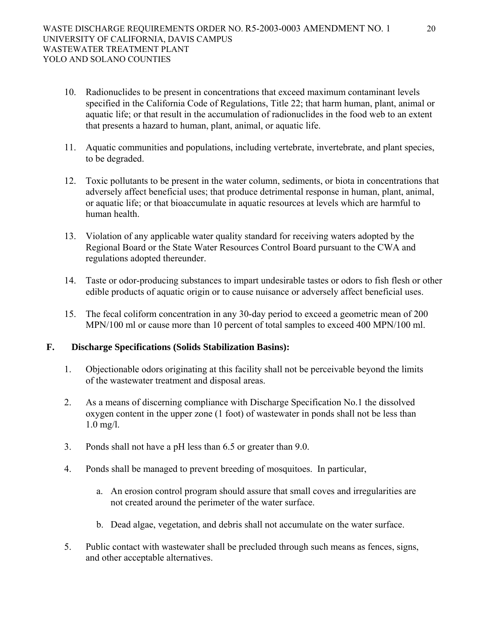- 10. Radionuclides to be present in concentrations that exceed maximum contaminant levels specified in the California Code of Regulations, Title 22; that harm human, plant, animal or aquatic life; or that result in the accumulation of radionuclides in the food web to an extent that presents a hazard to human, plant, animal, or aquatic life.
- 11. Aquatic communities and populations, including vertebrate, invertebrate, and plant species, to be degraded.
- 12. Toxic pollutants to be present in the water column, sediments, or biota in concentrations that adversely affect beneficial uses; that produce detrimental response in human, plant, animal, or aquatic life; or that bioaccumulate in aquatic resources at levels which are harmful to human health.
- 13. Violation of any applicable water quality standard for receiving waters adopted by the Regional Board or the State Water Resources Control Board pursuant to the CWA and regulations adopted thereunder.
- 14. Taste or odor-producing substances to impart undesirable tastes or odors to fish flesh or other edible products of aquatic origin or to cause nuisance or adversely affect beneficial uses.
- 15. The fecal coliform concentration in any 30-day period to exceed a geometric mean of 200 MPN/100 ml or cause more than 10 percent of total samples to exceed 400 MPN/100 ml.

### **F. Discharge Specifications (Solids Stabilization Basins):**

- 1. Objectionable odors originating at this facility shall not be perceivable beyond the limits of the wastewater treatment and disposal areas.
- 2. As a means of discerning compliance with Discharge Specification No.1 the dissolved oxygen content in the upper zone (1 foot) of wastewater in ponds shall not be less than 1.0 mg/l.
- 3. Ponds shall not have a pH less than 6.5 or greater than 9.0.
- 4. Ponds shall be managed to prevent breeding of mosquitoes. In particular,
	- a. An erosion control program should assure that small coves and irregularities are not created around the perimeter of the water surface.
	- b. Dead algae, vegetation, and debris shall not accumulate on the water surface.
- 5. Public contact with wastewater shall be precluded through such means as fences, signs, and other acceptable alternatives.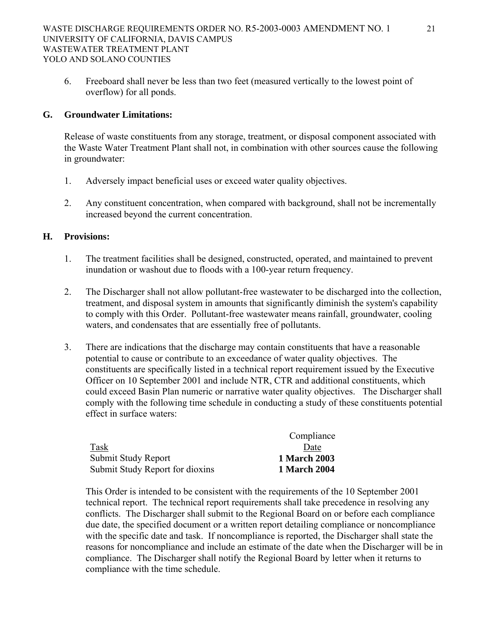6. Freeboard shall never be less than two feet (measured vertically to the lowest point of overflow) for all ponds.

## **G. Groundwater Limitations:**

 Release of waste constituents from any storage, treatment, or disposal component associated with the Waste Water Treatment Plant shall not, in combination with other sources cause the following in groundwater:

- 1. Adversely impact beneficial uses or exceed water quality objectives.
- 2. Any constituent concentration, when compared with background, shall not be incrementally increased beyond the current concentration.

### **H. Provisions:**

- 1. The treatment facilities shall be designed, constructed, operated, and maintained to prevent inundation or washout due to floods with a 100-year return frequency.
- 2. The Discharger shall not allow pollutant-free wastewater to be discharged into the collection, treatment, and disposal system in amounts that significantly diminish the system's capability to comply with this Order. Pollutant-free wastewater means rainfall, groundwater, cooling waters, and condensates that are essentially free of pollutants.
- 3. There are indications that the discharge may contain constituents that have a reasonable potential to cause or contribute to an exceedance of water quality objectives. The constituents are specifically listed in a technical report requirement issued by the Executive Officer on 10 September 2001 and include NTR, CTR and additional constituents, which could exceed Basin Plan numeric or narrative water quality objectives. The Discharger shall comply with the following time schedule in conducting a study of these constituents potential effect in surface waters:

|                                 | Compliance          |
|---------------------------------|---------------------|
| Task                            | Date                |
| Submit Study Report             | <b>1 March 2003</b> |
| Submit Study Report for dioxins | <b>1 March 2004</b> |

This Order is intended to be consistent with the requirements of the 10 September 2001 technical report. The technical report requirements shall take precedence in resolving any conflicts. The Discharger shall submit to the Regional Board on or before each compliance due date, the specified document or a written report detailing compliance or noncompliance with the specific date and task. If noncompliance is reported, the Discharger shall state the reasons for noncompliance and include an estimate of the date when the Discharger will be in compliance. The Discharger shall notify the Regional Board by letter when it returns to compliance with the time schedule.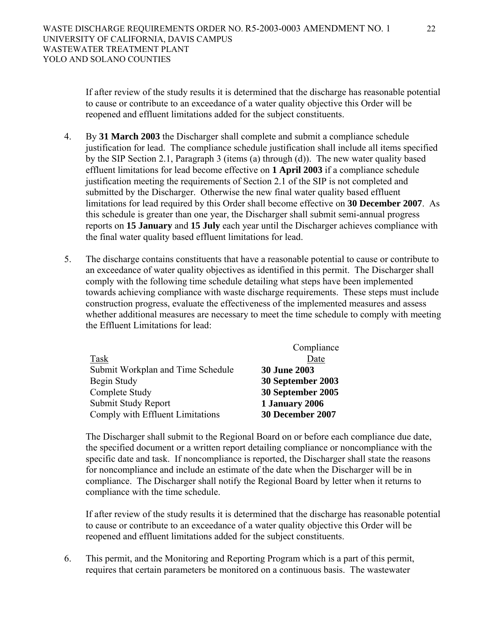If after review of the study results it is determined that the discharge has reasonable potential to cause or contribute to an exceedance of a water quality objective this Order will be reopened and effluent limitations added for the subject constituents.

- 4. By **31 March 2003** the Discharger shall complete and submit a compliance schedule justification for lead. The compliance schedule justification shall include all items specified by the SIP Section 2.1, Paragraph 3 (items (a) through (d)). The new water quality based effluent limitations for lead become effective on **1 April 2003** if a compliance schedule justification meeting the requirements of Section 2.1 of the SIP is not completed and submitted by the Discharger. Otherwise the new final water quality based effluent limitations for lead required by this Order shall become effective on **30 December 2007**. As this schedule is greater than one year, the Discharger shall submit semi-annual progress reports on **15 January** and **15 July** each year until the Discharger achieves compliance with the final water quality based effluent limitations for lead.
- 5. The discharge contains constituents that have a reasonable potential to cause or contribute to an exceedance of water quality objectives as identified in this permit. The Discharger shall comply with the following time schedule detailing what steps have been implemented towards achieving compliance with waste discharge requirements. These steps must include construction progress, evaluate the effectiveness of the implemented measures and assess whether additional measures are necessary to meet the time schedule to comply with meeting the Effluent Limitations for lead:

| Compliance          |
|---------------------|
| Date                |
| <b>30 June 2003</b> |
| 30 September 2003   |
| 30 September 2005   |
| 1 January 2006      |
| 30 December 2007    |
|                     |

The Discharger shall submit to the Regional Board on or before each compliance due date, the specified document or a written report detailing compliance or noncompliance with the specific date and task. If noncompliance is reported, the Discharger shall state the reasons for noncompliance and include an estimate of the date when the Discharger will be in compliance. The Discharger shall notify the Regional Board by letter when it returns to compliance with the time schedule.

If after review of the study results it is determined that the discharge has reasonable potential to cause or contribute to an exceedance of a water quality objective this Order will be reopened and effluent limitations added for the subject constituents.

6. This permit, and the Monitoring and Reporting Program which is a part of this permit, requires that certain parameters be monitored on a continuous basis. The wastewater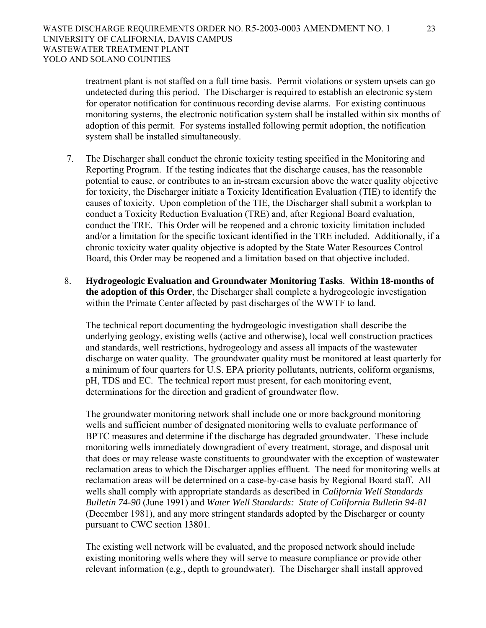treatment plant is not staffed on a full time basis. Permit violations or system upsets can go undetected during this period. The Discharger is required to establish an electronic system for operator notification for continuous recording devise alarms. For existing continuous monitoring systems, the electronic notification system shall be installed within six months of adoption of this permit. For systems installed following permit adoption, the notification system shall be installed simultaneously.

- 7. The Discharger shall conduct the chronic toxicity testing specified in the Monitoring and Reporting Program. If the testing indicates that the discharge causes, has the reasonable potential to cause, or contributes to an in-stream excursion above the water quality objective for toxicity, the Discharger initiate a Toxicity Identification Evaluation (TIE) to identify the causes of toxicity. Upon completion of the TIE, the Discharger shall submit a workplan to conduct a Toxicity Reduction Evaluation (TRE) and, after Regional Board evaluation, conduct the TRE. This Order will be reopened and a chronic toxicity limitation included and/or a limitation for the specific toxicant identified in the TRE included. Additionally, if a chronic toxicity water quality objective is adopted by the State Water Resources Control Board, this Order may be reopened and a limitation based on that objective included.
- 8. **Hydrogeologic Evaluation and Groundwater Monitoring Tasks**. **Within 18-months of the adoption of this Order**, the Discharger shall complete a hydrogeologic investigation within the Primate Center affected by past discharges of the WWTF to land.

The technical report documenting the hydrogeologic investigation shall describe the underlying geology, existing wells (active and otherwise), local well construction practices and standards, well restrictions, hydrogeology and assess all impacts of the wastewater discharge on water quality. The groundwater quality must be monitored at least quarterly for a minimum of four quarters for U.S. EPA priority pollutants, nutrients, coliform organisms, pH, TDS and EC. The technical report must present, for each monitoring event, determinations for the direction and gradient of groundwater flow.

The groundwater monitoring network shall include one or more background monitoring wells and sufficient number of designated monitoring wells to evaluate performance of BPTC measures and determine if the discharge has degraded groundwater. These include monitoring wells immediately downgradient of every treatment, storage, and disposal unit that does or may release waste constituents to groundwater with the exception of wastewater reclamation areas to which the Discharger applies effluent. The need for monitoring wells at reclamation areas will be determined on a case-by-case basis by Regional Board staff. All wells shall comply with appropriate standards as described in *California Well Standards Bulletin 74-90* (June 1991) and *Water Well Standards: State of California Bulletin 94-81* (December 1981), and any more stringent standards adopted by the Discharger or county pursuant to CWC section 13801.

The existing well network will be evaluated, and the proposed network should include existing monitoring wells where they will serve to measure compliance or provide other relevant information (e.g., depth to groundwater). The Discharger shall install approved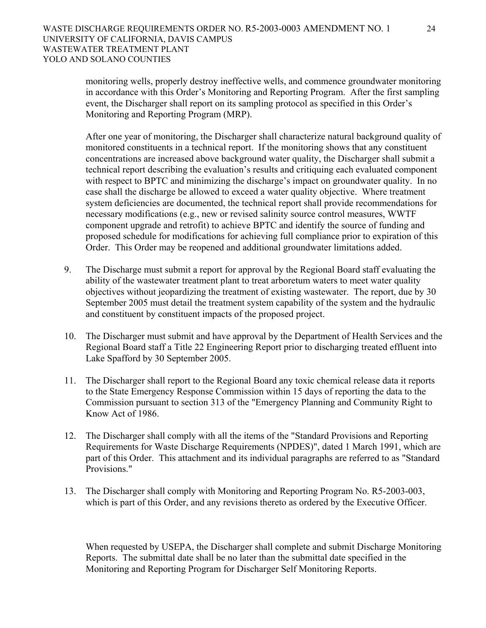monitoring wells, properly destroy ineffective wells, and commence groundwater monitoring in accordance with this Order's Monitoring and Reporting Program. After the first sampling event, the Discharger shall report on its sampling protocol as specified in this Order's Monitoring and Reporting Program (MRP).

After one year of monitoring, the Discharger shall characterize natural background quality of monitored constituents in a technical report. If the monitoring shows that any constituent concentrations are increased above background water quality, the Discharger shall submit a technical report describing the evaluation's results and critiquing each evaluated component with respect to BPTC and minimizing the discharge's impact on groundwater quality. In no case shall the discharge be allowed to exceed a water quality objective. Where treatment system deficiencies are documented, the technical report shall provide recommendations for necessary modifications (e.g., new or revised salinity source control measures, WWTF component upgrade and retrofit) to achieve BPTC and identify the source of funding and proposed schedule for modifications for achieving full compliance prior to expiration of this Order. This Order may be reopened and additional groundwater limitations added.

- 9. The Discharge must submit a report for approval by the Regional Board staff evaluating the ability of the wastewater treatment plant to treat arboretum waters to meet water quality objectives without jeopardizing the treatment of existing wastewater. The report, due by 30 September 2005 must detail the treatment system capability of the system and the hydraulic and constituent by constituent impacts of the proposed project.
- 10. The Discharger must submit and have approval by the Department of Health Services and the Regional Board staff a Title 22 Engineering Report prior to discharging treated effluent into Lake Spafford by 30 September 2005.
- 11. The Discharger shall report to the Regional Board any toxic chemical release data it reports to the State Emergency Response Commission within 15 days of reporting the data to the Commission pursuant to section 313 of the "Emergency Planning and Community Right to Know Act of 1986.
- 12. The Discharger shall comply with all the items of the "Standard Provisions and Reporting Requirements for Waste Discharge Requirements (NPDES)", dated 1 March 1991, which are part of this Order. This attachment and its individual paragraphs are referred to as "Standard Provisions."
- 13. The Discharger shall comply with Monitoring and Reporting Program No. R5-2003-003, which is part of this Order, and any revisions thereto as ordered by the Executive Officer.

When requested by USEPA, the Discharger shall complete and submit Discharge Monitoring Reports. The submittal date shall be no later than the submittal date specified in the Monitoring and Reporting Program for Discharger Self Monitoring Reports.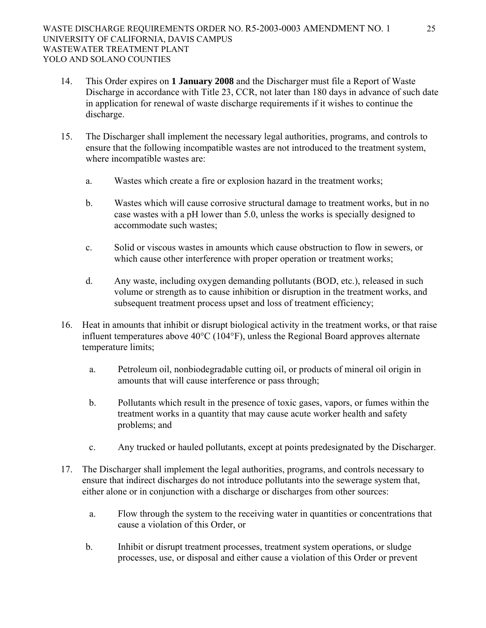- 14. This Order expires on **1 January 2008** and the Discharger must file a Report of Waste Discharge in accordance with Title 23, CCR, not later than 180 days in advance of such date in application for renewal of waste discharge requirements if it wishes to continue the discharge.
- 15. The Discharger shall implement the necessary legal authorities, programs, and controls to ensure that the following incompatible wastes are not introduced to the treatment system, where incompatible wastes are:
	- a. Wastes which create a fire or explosion hazard in the treatment works;
	- b. Wastes which will cause corrosive structural damage to treatment works, but in no case wastes with a pH lower than 5.0, unless the works is specially designed to accommodate such wastes;
	- c. Solid or viscous wastes in amounts which cause obstruction to flow in sewers, or which cause other interference with proper operation or treatment works;
	- d. Any waste, including oxygen demanding pollutants (BOD, etc.), released in such volume or strength as to cause inhibition or disruption in the treatment works, and subsequent treatment process upset and loss of treatment efficiency;
- 16. Heat in amounts that inhibit or disrupt biological activity in the treatment works, or that raise influent temperatures above 40°C (104°F), unless the Regional Board approves alternate temperature limits;
	- a. Petroleum oil, nonbiodegradable cutting oil, or products of mineral oil origin in amounts that will cause interference or pass through;
	- b. Pollutants which result in the presence of toxic gases, vapors, or fumes within the treatment works in a quantity that may cause acute worker health and safety problems; and
	- c. Any trucked or hauled pollutants, except at points predesignated by the Discharger.
- 17. The Discharger shall implement the legal authorities, programs, and controls necessary to ensure that indirect discharges do not introduce pollutants into the sewerage system that, either alone or in conjunction with a discharge or discharges from other sources:
	- a. Flow through the system to the receiving water in quantities or concentrations that cause a violation of this Order, or
	- b. Inhibit or disrupt treatment processes, treatment system operations, or sludge processes, use, or disposal and either cause a violation of this Order or prevent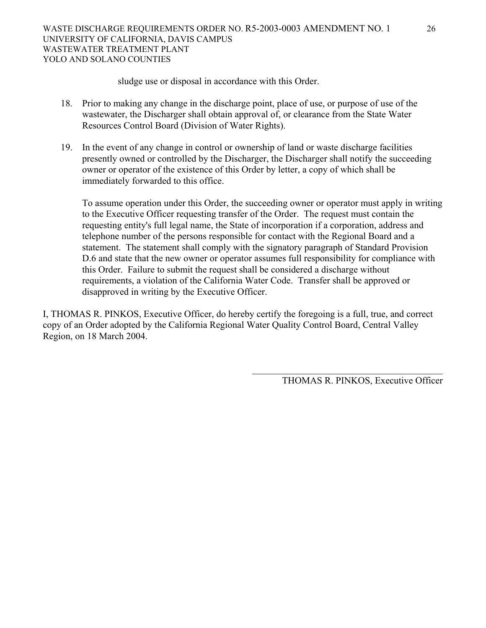sludge use or disposal in accordance with this Order.

- 18. Prior to making any change in the discharge point, place of use, or purpose of use of the wastewater, the Discharger shall obtain approval of, or clearance from the State Water Resources Control Board (Division of Water Rights).
- 19. In the event of any change in control or ownership of land or waste discharge facilities presently owned or controlled by the Discharger, the Discharger shall notify the succeeding owner or operator of the existence of this Order by letter, a copy of which shall be immediately forwarded to this office.

To assume operation under this Order, the succeeding owner or operator must apply in writing to the Executive Officer requesting transfer of the Order. The request must contain the requesting entity's full legal name, the State of incorporation if a corporation, address and telephone number of the persons responsible for contact with the Regional Board and a statement. The statement shall comply with the signatory paragraph of Standard Provision D.6 and state that the new owner or operator assumes full responsibility for compliance with this Order. Failure to submit the request shall be considered a discharge without requirements, a violation of the California Water Code. Transfer shall be approved or disapproved in writing by the Executive Officer.

I, THOMAS R. PINKOS, Executive Officer, do hereby certify the foregoing is a full, true, and correct copy of an Order adopted by the California Regional Water Quality Control Board, Central Valley Region, on 18 March 2004.

 $\mathcal{L}_\mathcal{L} = \{ \mathcal{L}_\mathcal{L} \mid \mathcal{L}_\mathcal{L} \in \mathcal{L}_\mathcal{L} \}$ 

THOMAS R. PINKOS, Executive Officer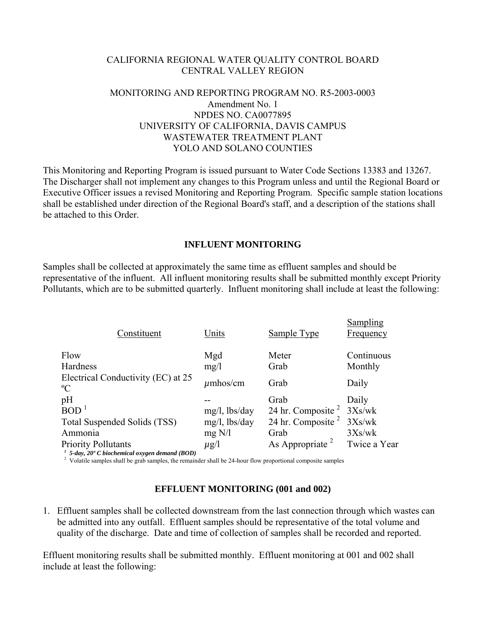## CALIFORNIA REGIONAL WATER QUALITY CONTROL BOARD CENTRAL VALLEY REGION

## MONITORING AND REPORTING PROGRAM NO. R5-2003-0003 Amendment No. 1 NPDES NO. CA0077895 UNIVERSITY OF CALIFORNIA, DAVIS CAMPUS WASTEWATER TREATMENT PLANT YOLO AND SOLANO COUNTIES

This Monitoring and Reporting Program is issued pursuant to Water Code Sections 13383 and 13267. The Discharger shall not implement any changes to this Program unless and until the Regional Board or Executive Officer issues a revised Monitoring and Reporting Program. Specific sample station locations shall be established under direction of the Regional Board's staff, and a description of the stations shall be attached to this Order.

### **INFLUENT MONITORING**

Samples shall be collected at approximately the same time as effluent samples and should be representative of the influent. All influent monitoring results shall be submitted monthly except Priority Pollutants, which are to be submitted quarterly. Influent monitoring shall include at least the following:

| Constituent                                                                              | Units            | Sample Type                 | <b>Sampling</b><br>Frequency |
|------------------------------------------------------------------------------------------|------------------|-----------------------------|------------------------------|
| Flow<br><b>Hardness</b>                                                                  | Mgd<br>mg/1      | Meter<br>Grab               | Continuous<br>Monthly        |
| Electrical Conductivity (EC) at 25<br>$\rm ^{o}C$                                        | $\mu$ mhos/cm    | Grab                        | Daily                        |
| pH                                                                                       |                  | Grab                        | Daily                        |
| $\rm{BOD}\ ^1$                                                                           | $mg/l$ , lbs/day | 24 hr. Composite $2$        | 3Xs/wk                       |
| <b>Total Suspended Solids (TSS)</b>                                                      | mg/l, lbs/day    | 24 hr. Composite $2$        | 3Xs/wk                       |
| Ammonia                                                                                  | mg N/l           | Grab                        | 3Xs/wk                       |
| <b>Priority Pollutants</b><br>$1$ 5-day, 20 $^{\circ}$ C biochemical oxygen demand (BOD) | $\mu$ g/l        | As Appropriate <sup>2</sup> | Twice a Year                 |

<sup>2</sup> Volatile samples shall be grab samples, the remainder shall be 24-hour flow proportional composite samples

## **EFFLUENT MONITORING (001 and 002)**

1. Effluent samples shall be collected downstream from the last connection through which wastes can be admitted into any outfall. Effluent samples should be representative of the total volume and quality of the discharge. Date and time of collection of samples shall be recorded and reported.

Effluent monitoring results shall be submitted monthly. Effluent monitoring at 001 and 002 shall include at least the following: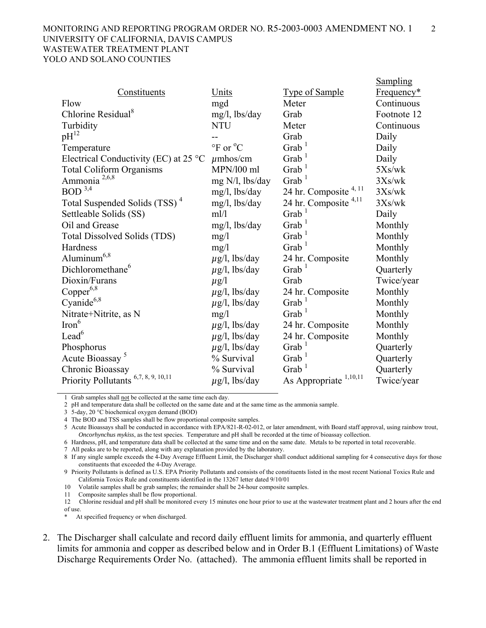#### MONITORING AND REPORTING PROGRAM ORDER NO. R5-2003-0003 AMENDMENT NO. 1 2 UNIVERSITY OF CALIFORNIA, DAVIS CAMPUS WASTEWATER TREATMENT PLANT YOLO AND SOLANO COUNTIES

|                                                 |                                      |                                   | <b>Sampling</b> |
|-------------------------------------------------|--------------------------------------|-----------------------------------|-----------------|
| Constituents                                    | Units                                | <b>Type of Sample</b>             | Frequency*      |
| Flow                                            | mgd                                  | Meter                             | Continuous      |
| Chlorine Residual <sup>8</sup>                  | mg/l, lbs/day                        | Grab                              | Footnote 12     |
| Turbidity                                       | <b>NTU</b>                           | Meter                             | Continuous      |
| $pH^{12}$                                       |                                      | Grab                              | Daily           |
| Temperature                                     | $\rm{^{\circ}F}$ or $\rm{^{\circ}C}$ | Grab $1$                          | Daily           |
| Electrical Conductivity (EC) at $25^{\circ}$ C  | $\mu$ mhos/cm                        | Grab <sup>1</sup>                 | Daily           |
| <b>Total Coliform Organisms</b>                 | MPN/100 ml                           | Grab <sup>1</sup>                 | 5Xs/wk          |
| Ammonia <sup>2,6,8</sup>                        | mg N/l, lbs/day                      | Grab <sup>1</sup>                 | 3Xs/wk          |
| $BOD$ <sup>3,4</sup>                            | $mg/l$ , lbs/day                     | 24 hr. Composite <sup>4, 11</sup> | 3Xs/wk          |
| Total Suspended Solids (TSS) <sup>4</sup>       | $mg/l$ , lbs/day                     | 24 hr. Composite <sup>4,11</sup>  | 3Xs/wk          |
| Settleable Solids (SS)                          | ml/l                                 | Grab <sup>1</sup>                 | Daily           |
| Oil and Grease                                  | mg/l, lbs/day                        | $G$ rab <sup>1</sup>              | Monthly         |
| <b>Total Dissolved Solids (TDS)</b>             | mg/1                                 | Grab $1$                          | Monthly         |
| Hardness                                        | mg/1                                 | Grab <sup>1</sup>                 | Monthly         |
| $\text{Aluminum}^{6,8}$                         | $\mu$ g/l, lbs/day                   | 24 hr. Composite                  | Monthly         |
| Dichloromethane <sup>6</sup>                    | $\mu$ g/l, lbs/day                   | $G$ rab $^1$                      | Quarterly       |
| Dioxin/Furans                                   | $\mu$ g/l                            | Grab                              | Twice/year      |
| $Copper^{6,8}$                                  | $\mu$ g/l, lbs/day                   | 24 hr. Composite                  | Monthly         |
| Cyanide <sup>6,8</sup>                          | $\mu$ g/l, lbs/day                   | Grab $1$                          | Monthly         |
| Nitrate+Nitrite, as N                           | mg/1                                 | Grab <sup>1</sup>                 | Monthly         |
| $\text{Iron}^6$                                 | $\mu$ g/l, lbs/day                   | 24 hr. Composite                  | Monthly         |
| Lead <sup>6</sup>                               | $\mu$ g/l, lbs/day                   | 24 hr. Composite                  | Monthly         |
| Phosphorus                                      | $\mu$ g/l, lbs/day                   | Grab <sup>1</sup>                 | Quarterly       |
| Acute Bioassay <sup>5</sup>                     | % Survival                           | Grab <sup>1</sup>                 | Quarterly       |
| Chronic Bioassay                                | % Survival                           | Grab <sup>1</sup>                 | Quarterly       |
| Priority Pollutants <sup>6,7, 8, 9, 10,11</sup> | $\mu$ g/l, lbs/day                   | 1,10,11<br>As Appropriate         | Twice/year      |

1 Grab samples shall not be collected at the same time each day.

2 pH and temperature data shall be collected on the same date and at the same time as the ammonia sample.

3 5-day, 20 °C biochemical oxygen demand (BOD)

4 The BOD and TSS samples shall be flow proportional composite samples.

5 Acute Bioassays shall be conducted in accordance with EPA/821-R-02-012, or later amendment, with Board staff approval, using rainbow trout, *Oncorhynchus mykiss*, as the test species. Temperature and pH shall be recorded at the time of bioassay collection.

6 Hardness, pH, and temperature data shall be collected at the same time and on the same date. Metals to be reported in total recoverable.

7 All peaks are to be reported, along with any explanation provided by the laboratory.

8 If any single sample exceeds the 4-Day Average Effluent Limit, the Discharger shall conduct additional sampling for 4 consecutive days for those constituents that exceeded the 4-Day Average.

9 Priority Pollutants is defined as U.S. EPA Priority Pollutants and consists of the constituents listed in the most recent National Toxics Rule and California Toxics Rule and constituents identified in the 13267 letter dated 9/10/01

10 Volatile samples shall be grab samples; the remainder shall be 24-hour composite samples.

11 Composite samples shall be flow proportional.

12 Chlorine residual and pH shall be monitored every 15 minutes one hour prior to use at the wastewater treatment plant and 2 hours after the end of use.

At specified frequency or when discharged.

2. The Discharger shall calculate and record daily effluent limits for ammonia, and quarterly effluent limits for ammonia and copper as described below and in Order B.1 (Effluent Limitations) of Waste Discharge Requirements Order No. (attached). The ammonia effluent limits shall be reported in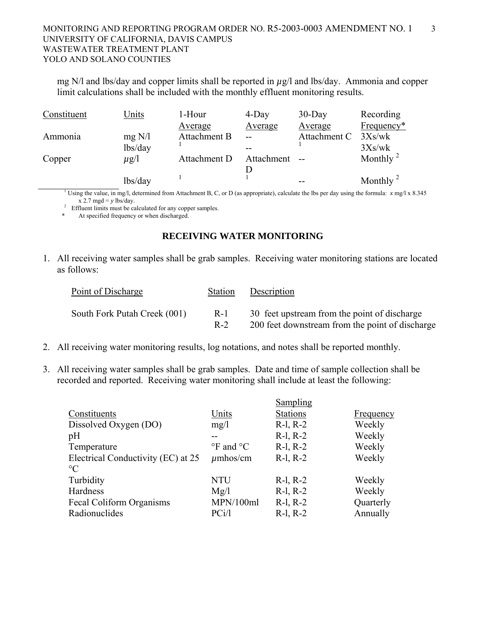### MONITORING AND REPORTING PROGRAM ORDER NO. R5-2003-0003 AMENDMENT NO. 1 3 UNIVERSITY OF CALIFORNIA, DAVIS CAMPUS WASTEWATER TREATMENT PLANT YOLO AND SOLANO COUNTIES

mg N/l and lbs/day and copper limits shall be reported in *µ*g/l and lbs/day. Ammonia and copper limit calculations shall be included with the monthly effluent monitoring results.

| Constituent | Units     | 1-Hour       | $4$ -Day   | $30$ -Day    | Recording            |
|-------------|-----------|--------------|------------|--------------|----------------------|
|             |           | Average      | Average    | Average      | Frequency*           |
| Ammonia     | mg N/l    | Attachment B |            | Attachment C | 3Xs/wk               |
|             | lbs/day   |              |            |              | 3Xs/wk               |
| Copper      | $\mu$ g/l | Attachment D | Attachment |              | Monthly $2$          |
|             |           |              |            |              |                      |
|             | lbs/day   |              |            |              | Monthly <sup>2</sup> |

<sup>1</sup> Using the value, in mg/l, determined from Attachment B, C, or D (as appropriate), calculate the lbs per day using the formula:  $x \text{ mgl}$  x 8.345  $x$  2.7 mgd =  $y$  lbs/day.

Effluent limits must be calculated for any copper samples.

\* At specified frequency or when discharged.

### **RECEIVING WATER MONITORING**

1. All receiving water samples shall be grab samples. Receiving water monitoring stations are located as follows:

| Point of Discharge           | <b>Station</b> | Description                                     |
|------------------------------|----------------|-------------------------------------------------|
| South Fork Putah Creek (001) | $R-1$          | 30 feet upstream from the point of discharge    |
|                              | $R-2$          | 200 feet downstream from the point of discharge |

- 2. All receiving water monitoring results, log notations, and notes shall be reported monthly.
- 3. All receiving water samples shall be grab samples. Date and time of sample collection shall be recorded and reported. Receiving water monitoring shall include at least the following:

|                                    |                                 | Sampling        |           |
|------------------------------------|---------------------------------|-----------------|-----------|
| Constituents                       | Units                           | <b>Stations</b> | Frequency |
| Dissolved Oxygen (DO)              | mg/1                            | $R-1, R-2$      | Weekly    |
| pH                                 |                                 | $R-1, R-2$      | Weekly    |
| Temperature                        | $\mathrm{P}F$ and $\mathrm{P}C$ | $R-1, R-2$      | Weekly    |
| Electrical Conductivity (EC) at 25 | $\mu$ mhos/cm                   | $R-1, R-2$      | Weekly    |
| $\rm ^{\circ}C$                    |                                 |                 |           |
| Turbidity                          | <b>NTU</b>                      | $R-1, R-2$      | Weekly    |
| Hardness                           | Mg/l                            | $R-1, R-2$      | Weekly    |
| Fecal Coliform Organisms           | MPN/100ml                       | $R-1, R-2$      | Quarterly |
| Radionuclides                      | PCi/l                           | $R-1, R-2$      | Annually  |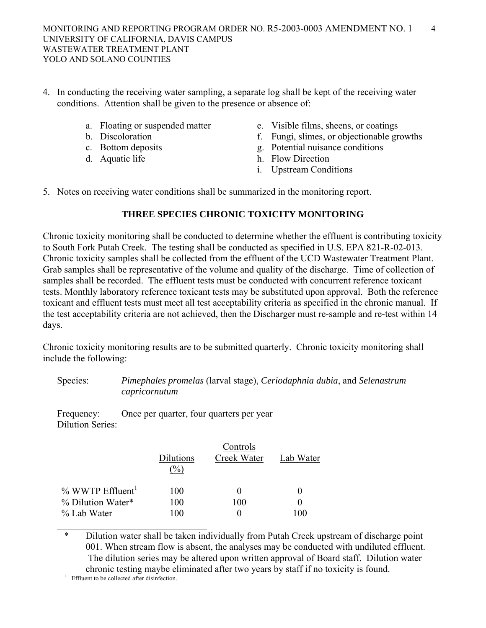- 4. In conducting the receiving water sampling, a separate log shall be kept of the receiving water conditions. Attention shall be given to the presence or absence of:
	-
	-
	-
	-
	- a. Floating or suspended matter e. Visible films, sheens, or coatings
	- b. Discoloration f. Fungi, slimes, or objectionable growths
	- c. Bottom deposits g. Potential nuisance conditions
	- d. Aquatic life h. Flow Direction
		- i. Upstream Conditions
- 5. Notes on receiving water conditions shall be summarized in the monitoring report.

## **THREE SPECIES CHRONIC TOXICITY MONITORING**

Chronic toxicity monitoring shall be conducted to determine whether the effluent is contributing toxicity to South Fork Putah Creek. The testing shall be conducted as specified in U.S. EPA 821-R-02-013. Chronic toxicity samples shall be collected from the effluent of the UCD Wastewater Treatment Plant. Grab samples shall be representative of the volume and quality of the discharge. Time of collection of samples shall be recorded. The effluent tests must be conducted with concurrent reference toxicant tests. Monthly laboratory reference toxicant tests may be substituted upon approval. Both the reference toxicant and effluent tests must meet all test acceptability criteria as specified in the chronic manual. If the test acceptability criteria are not achieved, then the Discharger must re-sample and re-test within 14 days.

Chronic toxicity monitoring results are to be submitted quarterly. Chronic toxicity monitoring shall include the following:

 Species: *Pimephales promelas* (larval stage), *Ceriodaphnia dubia*, and *Selenastrum capricornutum*

 Frequency: Once per quarter, four quarters per year Dilution Series:

|                                | Controls  |              |           |  |  |
|--------------------------------|-----------|--------------|-----------|--|--|
|                                | Dilutions | Creek Water  | Lab Water |  |  |
|                                | $(\%)$    |              |           |  |  |
| $%$ WWTP Effluent <sup>1</sup> | 100       | $\mathbf{0}$ |           |  |  |
| % Dilution Water*              | 100       | 100          |           |  |  |
| % Lab Water                    | 100       |              | 100       |  |  |

\* Dilution water shall be taken individually from Putah Creek upstream of discharge point 001. When stream flow is absent, the analyses may be conducted with undiluted effluent. The dilution series may be altered upon written approval of Board staff. Dilution water chronic testing maybe eliminated after two years by staff if no toxicity is found. 1

<sup>1</sup> Effluent to be collected after disinfection.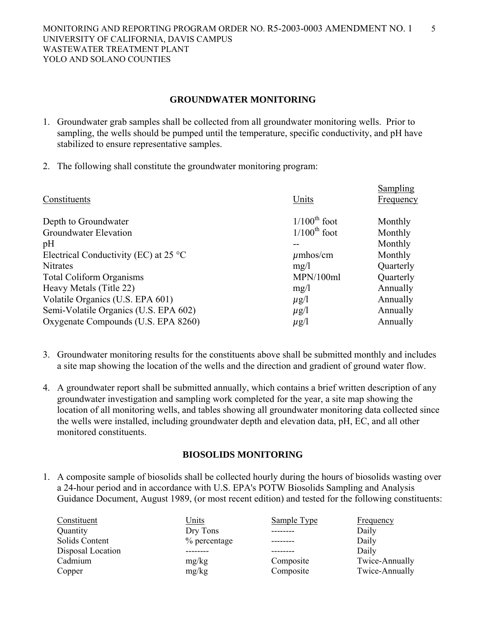### **GROUNDWATER MONITORING**

- 1. Groundwater grab samples shall be collected from all groundwater monitoring wells. Prior to sampling, the wells should be pumped until the temperature, specific conductivity, and pH have stabilized to ensure representative samples.
- 2. The following shall constitute the groundwater monitoring program:

| Units<br>Constituents<br>Frequency                              |           |
|-----------------------------------------------------------------|-----------|
| $1/100^{\text{th}}$ foot<br>Depth to Groundwater                | Monthly   |
| $1/100^{\text{th}}$ foot<br>Groundwater Elevation               | Monthly   |
| pH                                                              | Monthly   |
| Electrical Conductivity (EC) at $25^{\circ}$ C<br>$\mu$ mhos/cm | Monthly   |
| <b>Nitrates</b><br>mg/1                                         | Quarterly |
| MPN/100ml<br><b>Total Coliform Organisms</b>                    | Quarterly |
| Heavy Metals (Title 22)<br>mg/l                                 | Annually  |
| Volatile Organics (U.S. EPA 601)<br>$\mu$ g/l                   | Annually  |
| Semi-Volatile Organics (U.S. EPA 602)<br>$\mu$ g/l              | Annually  |
| Oxygenate Compounds (U.S. EPA 8260)<br>$\mu$ g/l                | Annually  |

- 3. Groundwater monitoring results for the constituents above shall be submitted monthly and includes a site map showing the location of the wells and the direction and gradient of ground water flow.
- 4. A groundwater report shall be submitted annually, which contains a brief written description of any groundwater investigation and sampling work completed for the year, a site map showing the location of all monitoring wells, and tables showing all groundwater monitoring data collected since the wells were installed, including groundwater depth and elevation data, pH, EC, and all other monitored constituents.

### **BIOSOLIDS MONITORING**

1. A composite sample of biosolids shall be collected hourly during the hours of biosolids wasting over a 24-hour period and in accordance with U.S. EPA's POTW Biosolids Sampling and Analysis Guidance Document, August 1989, (or most recent edition) and tested for the following constituents:

| Constituent       | Units        | Sample Type | Frequency      |
|-------------------|--------------|-------------|----------------|
| Quantity          | Dry Tons     |             | Daily          |
| Solids Content    | % percentage |             | Daily          |
| Disposal Location |              |             | Daily          |
| Cadmium           | mg/kg        | Composite   | Twice-Annually |
| Copper            | mg/kg        | Composite   | Twice-Annually |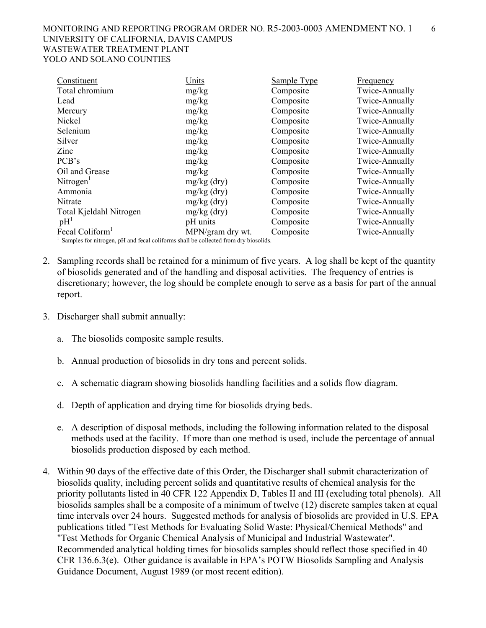| Constituent                                                                         | Units            | Sample Type | Frequency      |
|-------------------------------------------------------------------------------------|------------------|-------------|----------------|
| Total chromium                                                                      | mg/kg            | Composite   | Twice-Annually |
| Lead                                                                                | mg/kg            | Composite   | Twice-Annually |
| Mercury                                                                             | mg/kg            | Composite   | Twice-Annually |
| Nickel                                                                              | mg/kg            | Composite   | Twice-Annually |
| Selenium                                                                            | mg/kg            | Composite   | Twice-Annually |
| Silver                                                                              | mg/kg            | Composite   | Twice-Annually |
| Zinc                                                                                | mg/kg            | Composite   | Twice-Annually |
| PCB's                                                                               | mg/kg            | Composite   | Twice-Annually |
| Oil and Grease                                                                      | mg/kg            | Composite   | Twice-Annually |
| Nitrogen <sup>1</sup>                                                               | $mg/kg$ (dry)    | Composite   | Twice-Annually |
| Ammonia                                                                             | $mg/kg$ (dry)    | Composite   | Twice-Annually |
| Nitrate                                                                             | $mg/kg$ (dry)    | Composite   | Twice-Annually |
| Total Kjeldahl Nitrogen                                                             | $mg/kg$ (dry)    | Composite   | Twice-Annually |
| pH <sup>1</sup>                                                                     | pH units         | Composite   | Twice-Annually |
| Fecal Coliform <sup>1</sup>                                                         | MPN/gram dry wt. | Composite   | Twice-Annually |
| Samples for nitrogen, pH and fecal coliforms shall be collected from dry biosolids. |                  |             |                |

2. Sampling records shall be retained for a minimum of five years. A log shall be kept of the quantity of biosolids generated and of the handling and disposal activities. The frequency of entries is discretionary; however, the log should be complete enough to serve as a basis for part of the annual report.

- 3. Discharger shall submit annually:
	- a. The biosolids composite sample results.
	- b. Annual production of biosolids in dry tons and percent solids.
	- c. A schematic diagram showing biosolids handling facilities and a solids flow diagram.
	- d. Depth of application and drying time for biosolids drying beds.
	- e. A description of disposal methods, including the following information related to the disposal methods used at the facility. If more than one method is used, include the percentage of annual biosolids production disposed by each method.
- 4. Within 90 days of the effective date of this Order, the Discharger shall submit characterization of biosolids quality, including percent solids and quantitative results of chemical analysis for the priority pollutants listed in 40 CFR 122 Appendix D, Tables II and III (excluding total phenols). All biosolids samples shall be a composite of a minimum of twelve (12) discrete samples taken at equal time intervals over 24 hours. Suggested methods for analysis of biosolids are provided in U.S. EPA publications titled "Test Methods for Evaluating Solid Waste: Physical/Chemical Methods" and "Test Methods for Organic Chemical Analysis of Municipal and Industrial Wastewater". Recommended analytical holding times for biosolids samples should reflect those specified in 40 CFR 136.6.3(e). Other guidance is available in EPA's POTW Biosolids Sampling and Analysis Guidance Document, August 1989 (or most recent edition).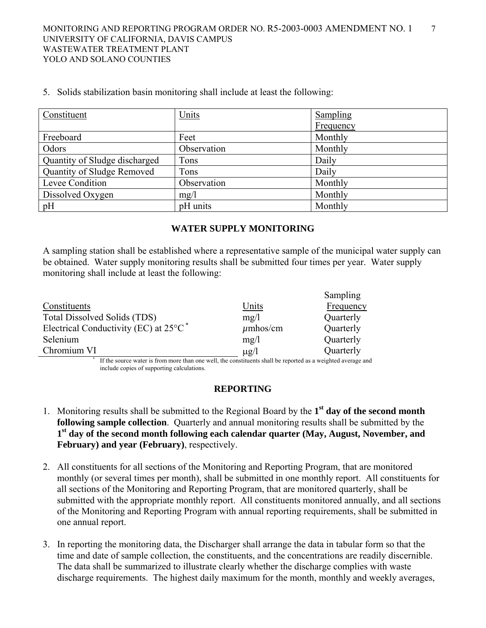| Constituent                   | Units       | Sampling  |
|-------------------------------|-------------|-----------|
|                               |             | Frequency |
| Freeboard                     | Feet        | Monthly   |
| Odors                         | Observation | Monthly   |
| Quantity of Sludge discharged | Tons        | Daily     |
| Quantity of Sludge Removed    | Tons        | Daily     |
| Levee Condition               | Observation | Monthly   |
| Dissolved Oxygen              | mg/1        | Monthly   |
| pH                            | pH units    | Monthly   |

5. Solids stabilization basin monitoring shall include at least the following:

## **WATER SUPPLY MONITORING**

A sampling station shall be established where a representative sample of the municipal water supply can be obtained. Water supply monitoring results shall be submitted four times per year. Water supply monitoring shall include at least the following:

|                                                             |               | Sampling  |
|-------------------------------------------------------------|---------------|-----------|
| Constituents                                                | <u>Units</u>  | Frequency |
| Total Dissolved Solids (TDS)                                | mg/l          | Quarterly |
| Electrical Conductivity (EC) at $25^{\circ}$ C <sup>*</sup> | $\mu$ mhos/cm | Quarterly |
| Selenium                                                    | mg/l          | Quarterly |
| Chromium VI                                                 | $\mu$ g/l     | Quarterly |
| $  -$<br>$\sim$<br>. .                                      | .             | .         |

If the source water is from more than one well, the constituents shall be reported as a weighted average and include copies of supporting calculations.

## **REPORTING**

- 1. Monitoring results shall be submitted to the Regional Board by the **1st day of the second month following sample collection**. Quarterly and annual monitoring results shall be submitted by the **1st day of the second month following each calendar quarter (May, August, November, and February) and year (February)**, respectively.
- 2. All constituents for all sections of the Monitoring and Reporting Program, that are monitored monthly (or several times per month), shall be submitted in one monthly report. All constituents for all sections of the Monitoring and Reporting Program, that are monitored quarterly, shall be submitted with the appropriate monthly report. All constituents monitored annually, and all sections of the Monitoring and Reporting Program with annual reporting requirements, shall be submitted in one annual report.
- 3. In reporting the monitoring data, the Discharger shall arrange the data in tabular form so that the time and date of sample collection, the constituents, and the concentrations are readily discernible. The data shall be summarized to illustrate clearly whether the discharge complies with waste discharge requirements. The highest daily maximum for the month, monthly and weekly averages,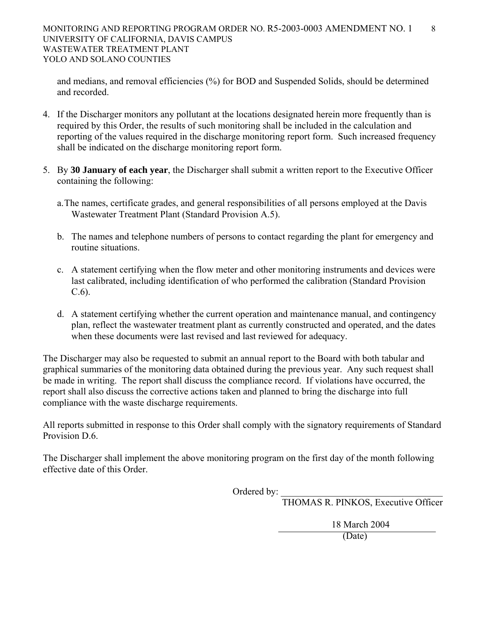and medians, and removal efficiencies (%) for BOD and Suspended Solids, should be determined and recorded.

- 4. If the Discharger monitors any pollutant at the locations designated herein more frequently than is required by this Order, the results of such monitoring shall be included in the calculation and reporting of the values required in the discharge monitoring report form. Such increased frequency shall be indicated on the discharge monitoring report form.
- 5. By **30 January of each year**, the Discharger shall submit a written report to the Executive Officer containing the following:
	- a. The names, certificate grades, and general responsibilities of all persons employed at the Davis Wastewater Treatment Plant (Standard Provision A.5).
	- b. The names and telephone numbers of persons to contact regarding the plant for emergency and routine situations.
	- c. A statement certifying when the flow meter and other monitoring instruments and devices were last calibrated, including identification of who performed the calibration (Standard Provision C.6).
	- d. A statement certifying whether the current operation and maintenance manual, and contingency plan, reflect the wastewater treatment plant as currently constructed and operated, and the dates when these documents were last revised and last reviewed for adequacy.

The Discharger may also be requested to submit an annual report to the Board with both tabular and graphical summaries of the monitoring data obtained during the previous year. Any such request shall be made in writing. The report shall discuss the compliance record. If violations have occurred, the report shall also discuss the corrective actions taken and planned to bring the discharge into full compliance with the waste discharge requirements.

All reports submitted in response to this Order shall comply with the signatory requirements of Standard Provision D.6.

The Discharger shall implement the above monitoring program on the first day of the month following effective date of this Order.

Ordered by: \_\_\_\_\_\_\_\_\_\_\_\_\_\_\_\_\_\_\_\_\_\_\_\_\_\_\_\_\_\_\_\_\_\_

THOMAS R. PINKOS, Executive Officer

 18 March 2004 (Date)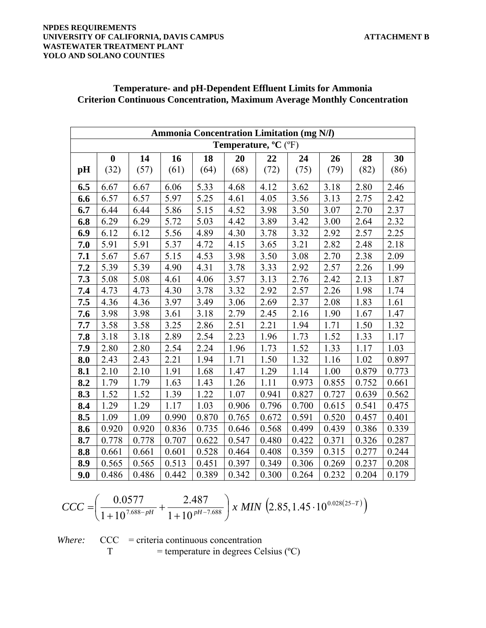#### **NPDES REQUIREMENTS**  UNIVERSITY OF CALIFORNIA, DAVIS CAMPUS **ALIFORNIA, DAVIS CAMPUS WASTEWATER TREATMENT PLANT YOLO AND SOLANO COUNTIES**

|     | <b>Ammonia Concentration Limitation (mg N/l)</b> |       |       |       |                      |       |       |       |       |       |
|-----|--------------------------------------------------|-------|-------|-------|----------------------|-------|-------|-------|-------|-------|
|     |                                                  |       |       |       | Temperature, °C (°F) |       |       |       |       |       |
|     | $\boldsymbol{0}$                                 | 14    | 16    | 18    | 20                   | 22    | 24    | 26    | 28    | 30    |
| pH  | (32)                                             | (57)  | (61)  | (64)  | (68)                 | (72)  | (75)  | (79)  | (82)  | (86)  |
| 6.5 | 6.67                                             | 6.67  | 6.06  | 5.33  | 4.68                 | 4.12  | 3.62  | 3.18  | 2.80  | 2.46  |
| 6.6 | 6.57                                             | 6.57  | 5.97  | 5.25  | 4.61                 | 4.05  | 3.56  | 3.13  | 2.75  | 2.42  |
| 6.7 | 6.44                                             | 6.44  | 5.86  | 5.15  | 4.52                 | 3.98  | 3.50  | 3.07  | 2.70  | 2.37  |
| 6.8 | 6.29                                             | 6.29  | 5.72  | 5.03  | 4.42                 | 3.89  | 3.42  | 3.00  | 2.64  | 2.32  |
| 6.9 | 6.12                                             | 6.12  | 5.56  | 4.89  | 4.30                 | 3.78  | 3.32  | 2.92  | 2.57  | 2.25  |
| 7.0 | 5.91                                             | 5.91  | 5.37  | 4.72  | 4.15                 | 3.65  | 3.21  | 2.82  | 2.48  | 2.18  |
| 7.1 | 5.67                                             | 5.67  | 5.15  | 4.53  | 3.98                 | 3.50  | 3.08  | 2.70  | 2.38  | 2.09  |
| 7.2 | 5.39                                             | 5.39  | 4.90  | 4.31  | 3.78                 | 3.33  | 2.92  | 2.57  | 2.26  | 1.99  |
| 7.3 | 5.08                                             | 5.08  | 4.61  | 4.06  | 3.57                 | 3.13  | 2.76  | 2.42  | 2.13  | 1.87  |
| 7.4 | 4.73                                             | 4.73  | 4.30  | 3.78  | 3.32                 | 2.92  | 2.57  | 2.26  | 1.98  | 1.74  |
| 7.5 | 4.36                                             | 4.36  | 3.97  | 3.49  | 3.06                 | 2.69  | 2.37  | 2.08  | 1.83  | 1.61  |
| 7.6 | 3.98                                             | 3.98  | 3.61  | 3.18  | 2.79                 | 2.45  | 2.16  | 1.90  | 1.67  | 1.47  |
| 7.7 | 3.58                                             | 3.58  | 3.25  | 2.86  | 2.51                 | 2.21  | 1.94  | 1.71  | 1.50  | 1.32  |
| 7.8 | 3.18                                             | 3.18  | 2.89  | 2.54  | 2.23                 | 1.96  | 1.73  | 1.52  | 1.33  | 1.17  |
| 7.9 | 2.80                                             | 2.80  | 2.54  | 2.24  | 1.96                 | 1.73  | 1.52  | 1.33  | 1.17  | 1.03  |
| 8.0 | 2.43                                             | 2.43  | 2.21  | 1.94  | 1.71                 | 1.50  | 1.32  | 1.16  | 1.02  | 0.897 |
| 8.1 | 2.10                                             | 2.10  | 1.91  | 1.68  | 1.47                 | 1.29  | 1.14  | 1.00  | 0.879 | 0.773 |
| 8.2 | 1.79                                             | 1.79  | 1.63  | 1.43  | 1.26                 | 1.11  | 0.973 | 0.855 | 0.752 | 0.661 |
| 8.3 | 1.52                                             | 1.52  | 1.39  | 1.22  | 1.07                 | 0.941 | 0.827 | 0.727 | 0.639 | 0.562 |
| 8.4 | 1.29                                             | 1.29  | 1.17  | 1.03  | 0.906                | 0.796 | 0.700 | 0.615 | 0.541 | 0.475 |
| 8.5 | 1.09                                             | 1.09  | 0.990 | 0.870 | 0.765                | 0.672 | 0.591 | 0.520 | 0.457 | 0.401 |
| 8.6 | 0.920                                            | 0.920 | 0.836 | 0.735 | 0.646                | 0.568 | 0.499 | 0.439 | 0.386 | 0.339 |
| 8.7 | 0.778                                            | 0.778 | 0.707 | 0.622 | 0.547                | 0.480 | 0.422 | 0.371 | 0.326 | 0.287 |
| 8.8 | 0.661                                            | 0.661 | 0.601 | 0.528 | 0.464                | 0.408 | 0.359 | 0.315 | 0.277 | 0.244 |
| 8.9 | 0.565                                            | 0.565 | 0.513 | 0.451 | 0.397                | 0.349 | 0.306 | 0.269 | 0.237 | 0.208 |
| 9.0 | 0.486                                            | 0.486 | 0.442 | 0.389 | 0.342                | 0.300 | 0.264 | 0.232 | 0.204 | 0.179 |

## **Temperature- and pH-Dependent Effluent Limits for Ammonia Criterion Continuous Concentration, Maximum Average Monthly Concentration**

$$
CCC = \left(\frac{0.0577}{1 + 10^{7.688 - pH}} + \frac{2.487}{1 + 10^{pt - 7.688}}\right) x \ MIN \ \left(2.85, 1.45 \cdot 10^{0.028(25 - T)}\right)
$$

*Where:* CCC = criteria continuous concentration  $T = temperature in degrees Celsius (°C)$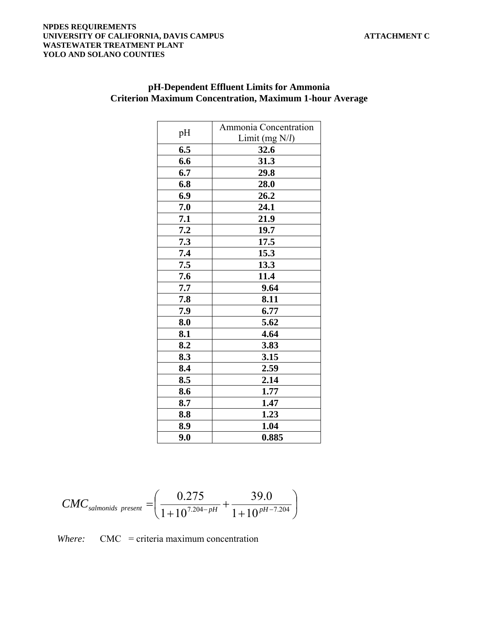#### **NPDES REQUIREMENTS UNIVERSITY OF CALIFORNIA, DAVIS CAMPUS ATTACHMENT C WASTEWATER TREATMENT PLANT YOLO AND SOLANO COUNTIES**

|     | Ammonia Concentration |
|-----|-----------------------|
| pH  | Limit (mg $N/l$ )     |
| 6.5 | 32.6                  |
| 6.6 | 31.3                  |
| 6.7 | 29.8                  |
| 6.8 | 28.0                  |
| 6.9 | 26.2                  |
| 7.0 | 24.1                  |
| 7.1 | 21.9                  |
| 7.2 | 19.7                  |
| 7.3 | 17.5                  |
| 7.4 | 15.3                  |
| 7.5 | 13.3                  |
| 7.6 | 11.4                  |
| 7.7 | 9.64                  |
| 7.8 | 8.11                  |
| 7.9 | 6.77                  |
| 8.0 | 5.62                  |
| 8.1 | 4.64                  |
| 8.2 | 3.83                  |
| 8.3 | 3.15                  |
| 8.4 | 2.59                  |
| 8.5 | 2.14                  |
| 8.6 | 1.77                  |
| 8.7 | 1.47                  |
| 8.8 | 1.23                  |
| 8.9 | 1.04                  |
| 9.0 | 0.885                 |

## **pH-Dependent Effluent Limits for Ammonia Criterion Maximum Concentration, Maximum 1-hour Average**

$$
CMC_{salmonids\ present} = \left(\frac{0.275}{1+10^{7.204-pH}} + \frac{39.0}{1+10^{pH-7.204}}\right)
$$

*Where:* CMC = criteria maximum concentration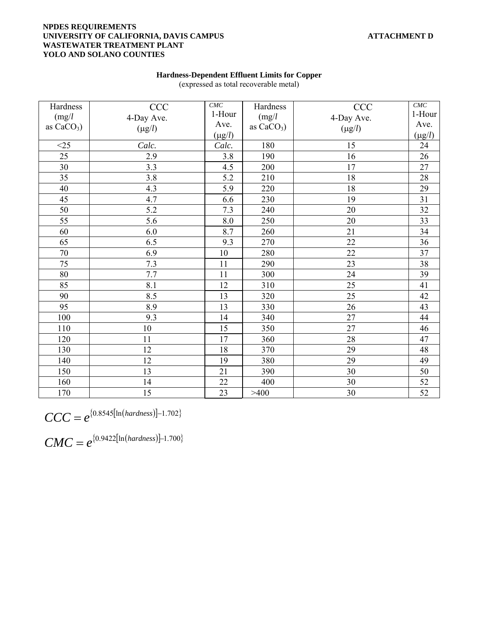#### **NPDES REQUIREMENTS UNIVERSITY OF CALIFORNIA, DAVIS CAMPUS ATTACHMENT D WASTEWATER TREATMENT PLANT YOLO AND SOLANO COUNTIES**

| Hardness     | <b>CCC</b>  | CMC         | Hardness     | <b>CCC</b>  | $CMC$           |
|--------------|-------------|-------------|--------------|-------------|-----------------|
| (mg/l)       | 4-Day Ave.  | 1-Hour      | (mg/l)       | 4-Day Ave.  | 1-Hour          |
| as $CaCO3$ ) | $(\mu g/l)$ | Ave.        | as $CaCO3$ ) | $(\mu g/l)$ | Ave.            |
|              |             | $(\mu g/l)$ |              |             | $(\mu g/l)$     |
| $<$ 25       | Calc.       | Calc.       | 180          | 15          | 24              |
| 25           | 2.9         | 3.8         | 190          | 16          | 26              |
| 30           | 3.3         | 4.5         | 200          | 17          | 27              |
| 35           | 3.8         | 5.2         | 210          | 18          | $28\,$          |
| $40\,$       | 4.3         | 5.9         | 220          | 18          | 29              |
| 45           | 4.7         | 6.6         | 230          | 19          | 31              |
| 50           | 5.2         | 7.3         | 240          | 20          | 32              |
| 55           | 5.6         | 8.0         | 250          | $20\,$      | 33              |
| 60           | 6.0         | 8.7         | 260          | 21          | 34              |
| 65           | 6.5         | 9.3         | 270          | 22          | 36              |
| $70\,$       | 6.9         | 10          | 280          | 22          | 37              |
| 75           | 7.3         | 11          | 290          | 23          | 38              |
| $80\,$       | 7.7         | 11          | 300          | 24          | 39              |
| 85           | 8.1         | 12          | 310          | 25          | 41              |
| 90           | 8.5         | 13          | 320          | 25          | 42              |
| 95           | 8.9         | 13          | 330          | 26          | 43              |
| 100          | 9.3         | 14          | 340          | 27          | 44              |
| 110          | 10          | 15          | 350          | 27          | 46              |
| 120          | 11          | 17          | 360          | 28          | $\overline{47}$ |
| 130          | 12          | 18          | 370          | 29          | 48              |
| 140          | 12          | 19          | 380          | 29          | 49              |
| 150          | 13          | 21          | 390          | 30          | 50              |
| 160          | 14          | 22          | 400          | 30          | 52              |
| 170          | 15          | 23          | >400         | 30          | 52              |

**Hardness-Dependent Effluent Limits for Copper**  (expressed as total recoverable metal)

 $\text{CCC} = e^{\{0.8545[\ln(hardness)]-1.702\}}$ 

 $CMC = e^{(0.9422[\ln(hardness)]-1.700}$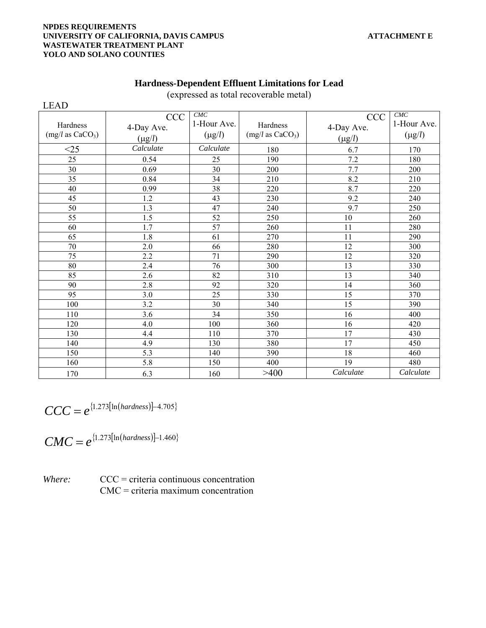#### **NPDES REQUIREMENTS UNIVERSITY OF CALIFORNIA, DAVIS CAMPUS ATTACHMENT E WASTEWATER TREATMENT PLANT YOLO AND SOLANO COUNTIES**

| <b>LEAD</b>                              |                                         |                                   |                                          |                                         |                                   |
|------------------------------------------|-----------------------------------------|-----------------------------------|------------------------------------------|-----------------------------------------|-----------------------------------|
| Hardness<br>(mg/l as CaCO <sub>3</sub> ) | <b>CCC</b><br>4-Day Ave.<br>$(\mu g/l)$ | CMC<br>1-Hour Ave.<br>$(\mu g/l)$ | Hardness<br>(mg/l as CaCO <sub>3</sub> ) | <b>CCC</b><br>4-Day Ave.<br>$(\mu g/l)$ | CMC<br>1-Hour Ave.<br>$(\mu g/l)$ |
| $<$ 25                                   | Calculate                               | Calculate                         | 180                                      | 6.7                                     | 170                               |
| 25                                       | 0.54                                    | 25                                | 190                                      | 7.2                                     | 180                               |
| 30                                       | 0.69                                    | 30                                | 200                                      | 7.7                                     | 200                               |
| 35                                       | 0.84                                    | 34                                | 210                                      | 8.2                                     | 210                               |
| 40                                       | 0.99                                    | 38                                | 220                                      | 8.7                                     | 220                               |
| 45                                       | 1.2                                     | 43                                | 230                                      | 9.2                                     | 240                               |
| 50                                       | 1.3                                     | 47                                | 240                                      | 9.7                                     | 250                               |
| 55                                       | 1.5                                     | 52                                | 250                                      | $10\,$                                  | 260                               |
| 60                                       | 1.7                                     | 57                                | 260                                      | 11                                      | 280                               |
| 65                                       | 1.8                                     | 61                                | 270                                      | 11                                      | 290                               |
| 70                                       | 2.0                                     | 66                                | 280                                      | 12                                      | 300                               |
| 75                                       | 2.2                                     | 71                                | 290                                      | 12                                      | 320                               |
| 80                                       | 2.4                                     | 76                                | 300                                      | 13                                      | 330                               |
| 85                                       | 2.6                                     | 82                                | 310                                      | 13                                      | 340                               |
| 90                                       | 2.8                                     | 92                                | 320                                      | 14                                      | 360                               |
| 95                                       | 3.0                                     | 25                                | 330                                      | 15                                      | 370                               |
| 100                                      | 3.2                                     | 30                                | 340                                      | 15                                      | 390                               |
| 110                                      | 3.6                                     | 34                                | 350                                      | 16                                      | 400                               |
| 120                                      | 4.0                                     | 100                               | 360                                      | 16                                      | 420                               |
| 130                                      | 4.4                                     | 110                               | 370                                      | 17                                      | 430                               |
| 140                                      | 4.9                                     | 130                               | 380                                      | 17                                      | 450                               |
| 150                                      | 5.3                                     | 140                               | 390                                      | 18                                      | 460                               |
| 160                                      | 5.8                                     | 150                               | 400                                      | 19                                      | 480                               |
| 170                                      | 6.3                                     | 160                               | >400                                     | Calculate                               | Calculate                         |

## **Hardness-Dependent Effluent Limitations for Lead**

(expressed as total recoverable metal)

$$
CCC = e^{\{1.273[ln(hardness)]-4.705\}}
$$

$$
CMC = e^{\{1.273[\ln(hardness)]-1.460\}}
$$

*Where:* CCC = criteria continuous concentration CMC = criteria maximum concentration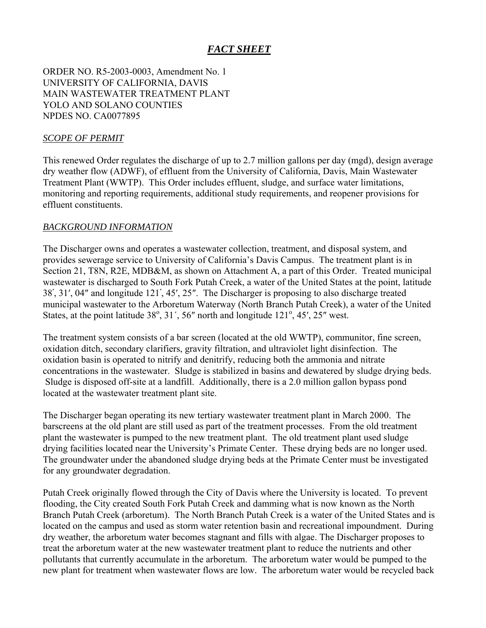# *FACT SHEET*

ORDER NO. R5-2003-0003, Amendment No. 1 UNIVERSITY OF CALIFORNIA, DAVIS MAIN WASTEWATER TREATMENT PLANT YOLO AND SOLANO COUNTIES NPDES NO. CA0077895

### *SCOPE OF PERMIT*

This renewed Order regulates the discharge of up to 2.7 million gallons per day (mgd), design average dry weather flow (ADWF), of effluent from the University of California, Davis, Main Wastewater Treatment Plant (WWTP). This Order includes effluent, sludge, and surface water limitations, monitoring and reporting requirements, additional study requirements, and reopener provisions for effluent constituents.

### *BACKGROUND INFORMATION*

The Discharger owns and operates a wastewater collection, treatment, and disposal system, and provides sewerage service to University of California's Davis Campus. The treatment plant is in Section 21, T8N, R2E, MDB&M, as shown on Attachment A, a part of this Order. Treated municipal wastewater is discharged to South Fork Putah Creek, a water of the United States at the point, latitude 38ْ, 31′, 04″ and longitude 121ْ, 45′, 25″. The Discharger is proposing to also discharge treated municipal wastewater to the Arboretum Waterway (North Branch Putah Creek), a water of the United States, at the point latitude  $38^\circ$ ,  $31'$ ,  $56''$  north and longitude  $121^\circ$ ,  $45'$ ,  $25''$  west.

The treatment system consists of a bar screen (located at the old WWTP), communitor, fine screen, oxidation ditch, secondary clarifiers, gravity filtration, and ultraviolet light disinfection. The oxidation basin is operated to nitrify and denitrify, reducing both the ammonia and nitrate concentrations in the wastewater. Sludge is stabilized in basins and dewatered by sludge drying beds. Sludge is disposed off-site at a landfill. Additionally, there is a 2.0 million gallon bypass pond located at the wastewater treatment plant site.

The Discharger began operating its new tertiary wastewater treatment plant in March 2000. The barscreens at the old plant are still used as part of the treatment processes. From the old treatment plant the wastewater is pumped to the new treatment plant. The old treatment plant used sludge drying facilities located near the University's Primate Center. These drying beds are no longer used. The groundwater under the abandoned sludge drying beds at the Primate Center must be investigated for any groundwater degradation.

Putah Creek originally flowed through the City of Davis where the University is located. To prevent flooding, the City created South Fork Putah Creek and damming what is now known as the North Branch Putah Creek (arboretum). The North Branch Putah Creek is a water of the United States and is located on the campus and used as storm water retention basin and recreational impoundment. During dry weather, the arboretum water becomes stagnant and fills with algae. The Discharger proposes to treat the arboretum water at the new wastewater treatment plant to reduce the nutrients and other pollutants that currently accumulate in the arboretum. The arboretum water would be pumped to the new plant for treatment when wastewater flows are low. The arboretum water would be recycled back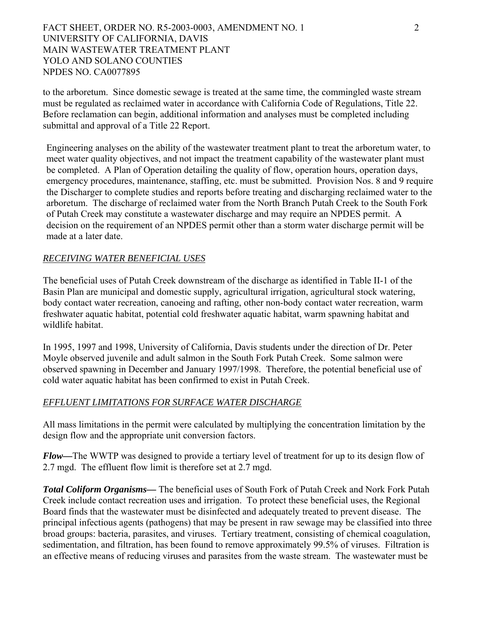FACT SHEET, ORDER NO. R5-2003-0003, AMENDMENT NO. 1 2 UNIVERSITY OF CALIFORNIA, DAVIS MAIN WASTEWATER TREATMENT PLANT YOLO AND SOLANO COUNTIES NPDES NO. CA0077895

to the arboretum. Since domestic sewage is treated at the same time, the commingled waste stream must be regulated as reclaimed water in accordance with California Code of Regulations, Title 22. Before reclamation can begin, additional information and analyses must be completed including submittal and approval of a Title 22 Report.

Engineering analyses on the ability of the wastewater treatment plant to treat the arboretum water, to meet water quality objectives, and not impact the treatment capability of the wastewater plant must be completed. A Plan of Operation detailing the quality of flow, operation hours, operation days, emergency procedures, maintenance, staffing, etc. must be submitted. Provision Nos. 8 and 9 require the Discharger to complete studies and reports before treating and discharging reclaimed water to the arboretum. The discharge of reclaimed water from the North Branch Putah Creek to the South Fork of Putah Creek may constitute a wastewater discharge and may require an NPDES permit. A decision on the requirement of an NPDES permit other than a storm water discharge permit will be made at a later date.

### *RECEIVING WATER BENEFICIAL USES*

The beneficial uses of Putah Creek downstream of the discharge as identified in Table II-1 of the Basin Plan are municipal and domestic supply, agricultural irrigation, agricultural stock watering, body contact water recreation, canoeing and rafting, other non-body contact water recreation, warm freshwater aquatic habitat, potential cold freshwater aquatic habitat, warm spawning habitat and wildlife habitat.

In 1995, 1997 and 1998, University of California, Davis students under the direction of Dr. Peter Moyle observed juvenile and adult salmon in the South Fork Putah Creek. Some salmon were observed spawning in December and January 1997/1998. Therefore, the potential beneficial use of cold water aquatic habitat has been confirmed to exist in Putah Creek.

#### *EFFLUENT LIMITATIONS FOR SURFACE WATER DISCHARGE*

All mass limitations in the permit were calculated by multiplying the concentration limitation by the design flow and the appropriate unit conversion factors.

*Flow—*The WWTP was designed to provide a tertiary level of treatment for up to its design flow of 2.7 mgd. The effluent flow limit is therefore set at 2.7 mgd.

*Total Coliform Organisms—* The beneficial uses of South Fork of Putah Creek and Nork Fork Putah Creek include contact recreation uses and irrigation. To protect these beneficial uses, the Regional Board finds that the wastewater must be disinfected and adequately treated to prevent disease. The principal infectious agents (pathogens) that may be present in raw sewage may be classified into three broad groups: bacteria, parasites, and viruses. Tertiary treatment, consisting of chemical coagulation, sedimentation, and filtration, has been found to remove approximately 99.5% of viruses. Filtration is an effective means of reducing viruses and parasites from the waste stream. The wastewater must be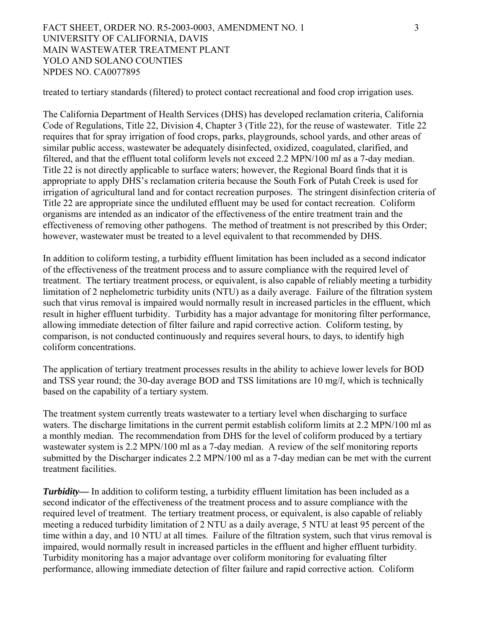FACT SHEET, ORDER NO. R5-2003-0003, AMENDMENT NO. 1 3 UNIVERSITY OF CALIFORNIA, DAVIS MAIN WASTEWATER TREATMENT PLANT YOLO AND SOLANO COUNTIES NPDES NO. CA0077895

treated to tertiary standards (filtered) to protect contact recreational and food crop irrigation uses.

The California Department of Health Services (DHS) has developed reclamation criteria, California Code of Regulations, Title 22, Division 4, Chapter 3 (Title 22), for the reuse of wastewater. Title 22 requires that for spray irrigation of food crops, parks, playgrounds, school yards, and other areas of similar public access, wastewater be adequately disinfected, oxidized, coagulated, clarified, and filtered, and that the effluent total coliform levels not exceed 2.2 MPN/100 m*l* as a 7-day median. Title 22 is not directly applicable to surface waters; however, the Regional Board finds that it is appropriate to apply DHS's reclamation criteria because the South Fork of Putah Creek is used for irrigation of agricultural land and for contact recreation purposes. The stringent disinfection criteria of Title 22 are appropriate since the undiluted effluent may be used for contact recreation. Coliform organisms are intended as an indicator of the effectiveness of the entire treatment train and the effectiveness of removing other pathogens. The method of treatment is not prescribed by this Order; however, wastewater must be treated to a level equivalent to that recommended by DHS.

In addition to coliform testing, a turbidity effluent limitation has been included as a second indicator of the effectiveness of the treatment process and to assure compliance with the required level of treatment. The tertiary treatment process, or equivalent, is also capable of reliably meeting a turbidity limitation of 2 nephelometric turbidity units (NTU) as a daily average. Failure of the filtration system such that virus removal is impaired would normally result in increased particles in the effluent, which result in higher effluent turbidity. Turbidity has a major advantage for monitoring filter performance, allowing immediate detection of filter failure and rapid corrective action. Coliform testing, by comparison, is not conducted continuously and requires several hours, to days, to identify high coliform concentrations.

The application of tertiary treatment processes results in the ability to achieve lower levels for BOD and TSS year round; the 30-day average BOD and TSS limitations are 10 mg/*l*, which is technically based on the capability of a tertiary system.

The treatment system currently treats wastewater to a tertiary level when discharging to surface waters. The discharge limitations in the current permit establish coliform limits at 2.2 MPN/100 ml as a monthly median. The recommendation from DHS for the level of coliform produced by a tertiary wastewater system is 2.2 MPN/100 ml as a 7-day median. A review of the self monitoring reports submitted by the Discharger indicates 2.2 MPN/100 ml as a 7-day median can be met with the current treatment facilities.

*Turbidity—* In addition to coliform testing, a turbidity effluent limitation has been included as a second indicator of the effectiveness of the treatment process and to assure compliance with the required level of treatment. The tertiary treatment process, or equivalent, is also capable of reliably meeting a reduced turbidity limitation of 2 NTU as a daily average, 5 NTU at least 95 percent of the time within a day, and 10 NTU at all times. Failure of the filtration system, such that virus removal is impaired, would normally result in increased particles in the effluent and higher effluent turbidity. Turbidity monitoring has a major advantage over coliform monitoring for evaluating filter performance, allowing immediate detection of filter failure and rapid corrective action. Coliform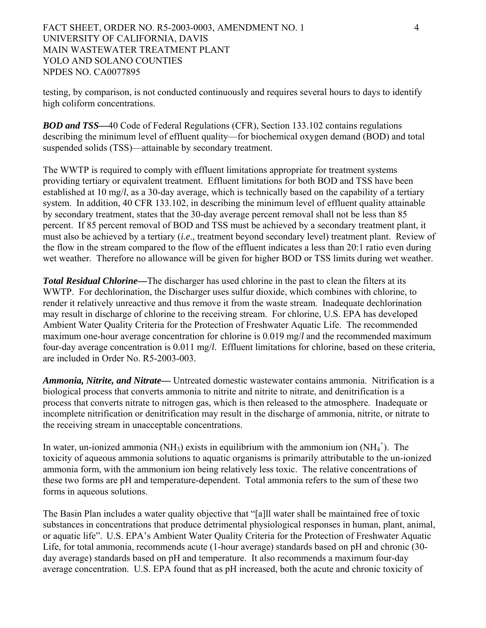FACT SHEET, ORDER NO. R5-2003-0003, AMENDMENT NO. 1 4 UNIVERSITY OF CALIFORNIA, DAVIS MAIN WASTEWATER TREATMENT PLANT YOLO AND SOLANO COUNTIES NPDES NO. CA0077895

testing, by comparison, is not conducted continuously and requires several hours to days to identify high coliform concentrations.

*BOD and TSS—*40 Code of Federal Regulations (CFR), Section 133.102 contains regulations describing the minimum level of effluent quality—for biochemical oxygen demand (BOD) and total suspended solids (TSS)—attainable by secondary treatment.

The WWTP is required to comply with effluent limitations appropriate for treatment systems providing tertiary or equivalent treatment. Effluent limitations for both BOD and TSS have been established at 10 mg/*l*, as a 30-day average, which is technically based on the capability of a tertiary system. In addition, 40 CFR 133.102, in describing the minimum level of effluent quality attainable by secondary treatment, states that the 30-day average percent removal shall not be less than 85 percent. If 85 percent removal of BOD and TSS must be achieved by a secondary treatment plant, it must also be achieved by a tertiary (*i.e*., treatment beyond secondary level) treatment plant. Review of the flow in the stream compared to the flow of the effluent indicates a less than 20:1 ratio even during wet weather. Therefore no allowance will be given for higher BOD or TSS limits during wet weather.

*Total Residual Chlorine—*The discharger has used chlorine in the past to clean the filters at its WWTP. For dechlorination, the Discharger uses sulfur dioxide, which combines with chlorine, to render it relatively unreactive and thus remove it from the waste stream. Inadequate dechlorination may result in discharge of chlorine to the receiving stream. For chlorine, U.S. EPA has developed Ambient Water Quality Criteria for the Protection of Freshwater Aquatic Life. The recommended maximum one-hour average concentration for chlorine is 0.019 mg/*l* and the recommended maximum four-day average concentration is 0.011 mg/*l*. Effluent limitations for chlorine, based on these criteria, are included in Order No. R5-2003-003.

*Ammonia, Nitrite, and Nitrate—* Untreated domestic wastewater contains ammonia. Nitrification is a biological process that converts ammonia to nitrite and nitrite to nitrate, and denitrification is a process that converts nitrate to nitrogen gas, which is then released to the atmosphere. Inadequate or incomplete nitrification or denitrification may result in the discharge of ammonia, nitrite, or nitrate to the receiving stream in unacceptable concentrations.

In water, un-ionized ammonia (NH<sub>3</sub>) exists in equilibrium with the ammonium ion  $(NH_4^+)$ . The toxicity of aqueous ammonia solutions to aquatic organisms is primarily attributable to the un-ionized ammonia form, with the ammonium ion being relatively less toxic. The relative concentrations of these two forms are pH and temperature-dependent. Total ammonia refers to the sum of these two forms in aqueous solutions.

The Basin Plan includes a water quality objective that "[a]ll water shall be maintained free of toxic substances in concentrations that produce detrimental physiological responses in human, plant, animal, or aquatic life". U.S. EPA's Ambient Water Quality Criteria for the Protection of Freshwater Aquatic Life, for total ammonia, recommends acute (1-hour average) standards based on pH and chronic (30 day average) standards based on pH and temperature. It also recommends a maximum four-day average concentration. U.S. EPA found that as pH increased, both the acute and chronic toxicity of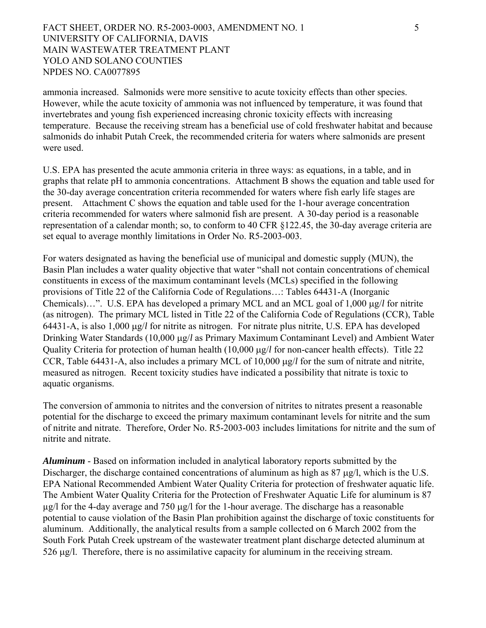FACT SHEET, ORDER NO. R5-2003-0003, AMENDMENT NO. 1 5 UNIVERSITY OF CALIFORNIA, DAVIS MAIN WASTEWATER TREATMENT PLANT YOLO AND SOLANO COUNTIES NPDES NO. CA0077895

ammonia increased. Salmonids were more sensitive to acute toxicity effects than other species. However, while the acute toxicity of ammonia was not influenced by temperature, it was found that invertebrates and young fish experienced increasing chronic toxicity effects with increasing temperature. Because the receiving stream has a beneficial use of cold freshwater habitat and because salmonids do inhabit Putah Creek, the recommended criteria for waters where salmonids are present were used.

U.S. EPA has presented the acute ammonia criteria in three ways: as equations, in a table, and in graphs that relate pH to ammonia concentrations. Attachment B shows the equation and table used for the 30-day average concentration criteria recommended for waters where fish early life stages are present. Attachment C shows the equation and table used for the 1-hour average concentration criteria recommended for waters where salmonid fish are present. A 30-day period is a reasonable representation of a calendar month; so, to conform to 40 CFR §122.45, the 30-day average criteria are set equal to average monthly limitations in Order No. R5-2003-003.

For waters designated as having the beneficial use of municipal and domestic supply (MUN), the Basin Plan includes a water quality objective that water "shall not contain concentrations of chemical constituents in excess of the maximum contaminant levels (MCLs) specified in the following provisions of Title 22 of the California Code of Regulations…: Tables 64431-A (Inorganic Chemicals)…". U.S. EPA has developed a primary MCL and an MCL goal of 1,000 μg/*l* for nitrite (as nitrogen). The primary MCL listed in Title 22 of the California Code of Regulations (CCR), Table 64431-A, is also 1,000 μg/*l* for nitrite as nitrogen. For nitrate plus nitrite, U.S. EPA has developed Drinking Water Standards (10,000 μg/*l* as Primary Maximum Contaminant Level) and Ambient Water Quality Criteria for protection of human health (10,000 μg/*l* for non-cancer health effects). Title 22 CCR, Table 64431-A, also includes a primary MCL of 10,000 μg/*l* for the sum of nitrate and nitrite, measured as nitrogen. Recent toxicity studies have indicated a possibility that nitrate is toxic to aquatic organisms.

The conversion of ammonia to nitrites and the conversion of nitrites to nitrates present a reasonable potential for the discharge to exceed the primary maximum contaminant levels for nitrite and the sum of nitrite and nitrate. Therefore, Order No. R5-2003-003 includes limitations for nitrite and the sum of nitrite and nitrate.

*Aluminum* - Based on information included in analytical laboratory reports submitted by the Discharger, the discharge contained concentrations of aluminum as high as 87 μg/l, which is the U.S. EPA National Recommended Ambient Water Quality Criteria for protection of freshwater aquatic life. The Ambient Water Quality Criteria for the Protection of Freshwater Aquatic Life for aluminum is 87 µg/l for the 4-day average and 750 μg/l for the 1-hour average. The discharge has a reasonable potential to cause violation of the Basin Plan prohibition against the discharge of toxic constituents for aluminum. Additionally, the analytical results from a sample collected on 6 March 2002 from the South Fork Putah Creek upstream of the wastewater treatment plant discharge detected aluminum at 526 μg/l. Therefore, there is no assimilative capacity for aluminum in the receiving stream.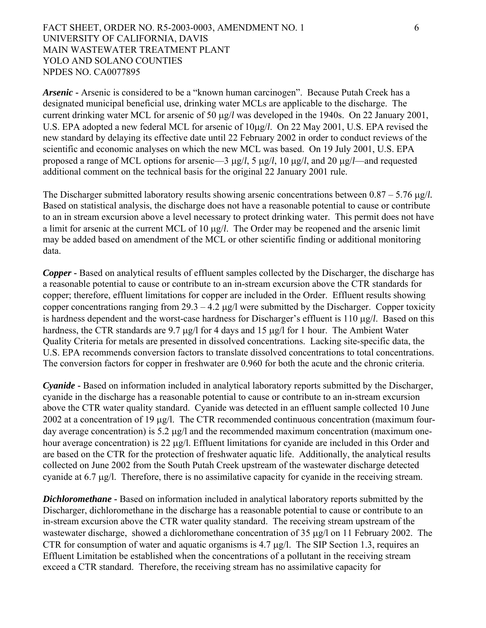FACT SHEET, ORDER NO. R5-2003-0003, AMENDMENT NO. 1 6 UNIVERSITY OF CALIFORNIA, DAVIS MAIN WASTEWATER TREATMENT PLANT YOLO AND SOLANO COUNTIES NPDES NO. CA0077895

*Arsenic* **-** Arsenic is considered to be a "known human carcinogen". Because Putah Creek has a designated municipal beneficial use, drinking water MCLs are applicable to the discharge. The current drinking water MCL for arsenic of 50 μg/*l* was developed in the 1940s. On 22 January 2001, U.S. EPA adopted a new federal MCL for arsenic of 10μg/*l*. On 22 May 2001, U.S. EPA revised the new standard by delaying its effective date until 22 February 2002 in order to conduct reviews of the scientific and economic analyses on which the new MCL was based. On 19 July 2001, U.S. EPA proposed a range of MCL options for arsenic—3 μg/*l*, 5 μg/*l*, 10 μg/*l*, and 20 μg/*l*—and requested additional comment on the technical basis for the original 22 January 2001 rule.

The Discharger submitted laboratory results showing arsenic concentrations between 0.87 – 5.76 μg/*l.*  Based on statistical analysis, the discharge does not have a reasonable potential to cause or contribute to an in stream excursion above a level necessary to protect drinking water. This permit does not have a limit for arsenic at the current MCL of 10 μg/*l*. The Order may be reopened and the arsenic limit may be added based on amendment of the MCL or other scientific finding or additional monitoring data.

*Copper* **-** Based on analytical results of effluent samples collected by the Discharger, the discharge has a reasonable potential to cause or contribute to an in-stream excursion above the CTR standards for copper; therefore, effluent limitations for copper are included in the Order. Effluent results showing copper concentrations ranging from  $29.3 - 4.2 \mu g/l$  were submitted by the Discharger. Copper toxicity is hardness dependent and the worst-case hardness for Discharger's effluent is 110 μg/*l*. Based on this hardness, the CTR standards are 9.7 μg/l for 4 days and 15 μg/l for 1 hour. The Ambient Water Quality Criteria for metals are presented in dissolved concentrations. Lacking site-specific data, the U.S. EPA recommends conversion factors to translate dissolved concentrations to total concentrations. The conversion factors for copper in freshwater are 0.960 for both the acute and the chronic criteria.

*Cyanide* **-** Based on information included in analytical laboratory reports submitted by the Discharger, cyanide in the discharge has a reasonable potential to cause or contribute to an in-stream excursion above the CTR water quality standard. Cyanide was detected in an effluent sample collected 10 June 2002 at a concentration of 19 μg/l. The CTR recommended continuous concentration (maximum fourday average concentration) is 5.2 μg/l and the recommended maximum concentration (maximum onehour average concentration) is 22 μg/l. Effluent limitations for cyanide are included in this Order and are based on the CTR for the protection of freshwater aquatic life. Additionally, the analytical results collected on June 2002 from the South Putah Creek upstream of the wastewater discharge detected cyanide at 6.7 μg/l. Therefore, there is no assimilative capacity for cyanide in the receiving stream.

*Dichloromethane* **-** Based on information included in analytical laboratory reports submitted by the Discharger, dichloromethane in the discharge has a reasonable potential to cause or contribute to an in-stream excursion above the CTR water quality standard. The receiving stream upstream of the wastewater discharge, showed a dichloromethane concentration of 35 μg/l on 11 February 2002. The CTR for consumption of water and aquatic organisms is 4.7 μg/l. The SIP Section 1.3, requires an Effluent Limitation be established when the concentrations of a pollutant in the receiving stream exceed a CTR standard. Therefore, the receiving stream has no assimilative capacity for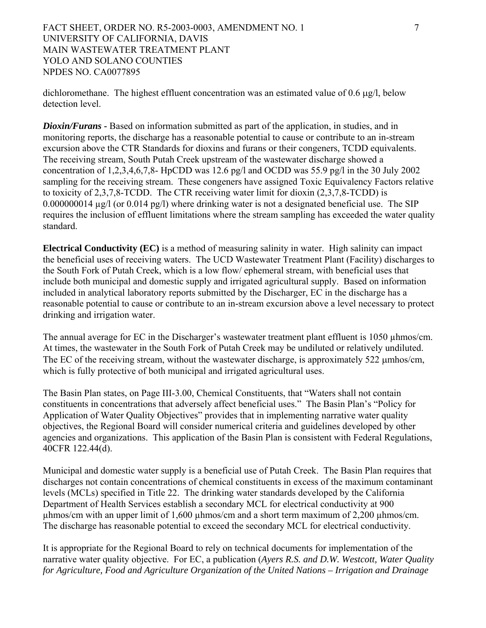FACT SHEET, ORDER NO. R5-2003-0003, AMENDMENT NO. 1 7 UNIVERSITY OF CALIFORNIA, DAVIS MAIN WASTEWATER TREATMENT PLANT YOLO AND SOLANO COUNTIES NPDES NO. CA0077895

dichloromethane. The highest effluent concentration was an estimated value of 0.6 μg/l, below detection level.

*Dioxin/Furans* **-** Based on information submitted as part of the application, in studies, and in monitoring reports, the discharge has a reasonable potential to cause or contribute to an in-stream excursion above the CTR Standards for dioxins and furans or their congeners, TCDD equivalents. The receiving stream, South Putah Creek upstream of the wastewater discharge showed a concentration of 1,2,3,4,6,7,8- HpCDD was 12.6 pg/l and OCDD was 55.9 pg/l in the 30 July 2002 sampling for the receiving stream. These congeners have assigned Toxic Equivalency Factors relative to toxicity of 2,3,7,8-TCDD. The CTR receiving water limit for dioxin (2,3,7,8-TCDD) is 0.000000014 µg/l (or 0.014 pg/l) where drinking water is not a designated beneficial use. The SIP requires the inclusion of effluent limitations where the stream sampling has exceeded the water quality standard.

**Electrical Conductivity (EC)** is a method of measuring salinity in water. High salinity can impact the beneficial uses of receiving waters. The UCD Wastewater Treatment Plant (Facility) discharges to the South Fork of Putah Creek, which is a low flow/ ephemeral stream, with beneficial uses that include both municipal and domestic supply and irrigated agricultural supply. Based on information included in analytical laboratory reports submitted by the Discharger, EC in the discharge has a reasonable potential to cause or contribute to an in-stream excursion above a level necessary to protect drinking and irrigation water.

The annual average for EC in the Discharger's wastewater treatment plant effluent is 1050 µhmos/cm. At times, the wastewater in the South Fork of Putah Creek may be undiluted or relatively undiluted. The EC of the receiving stream, without the wastewater discharge, is approximately 522 μmhos/cm, which is fully protective of both municipal and irrigated agricultural uses.

The Basin Plan states, on Page III-3.00, Chemical Constituents, that "Waters shall not contain constituents in concentrations that adversely affect beneficial uses." The Basin Plan's "Policy for Application of Water Quality Objectives" provides that in implementing narrative water quality objectives, the Regional Board will consider numerical criteria and guidelines developed by other agencies and organizations. This application of the Basin Plan is consistent with Federal Regulations, 40CFR 122.44(d).

Municipal and domestic water supply is a beneficial use of Putah Creek. The Basin Plan requires that discharges not contain concentrations of chemical constituents in excess of the maximum contaminant levels (MCLs) specified in Title 22. The drinking water standards developed by the California Department of Health Services establish a secondary MCL for electrical conductivity at 900  $\mu$ hmos/cm with an upper limit of 1,600  $\mu$ hmos/cm and a short term maximum of 2,200  $\mu$ hmos/cm. The discharge has reasonable potential to exceed the secondary MCL for electrical conductivity.

It is appropriate for the Regional Board to rely on technical documents for implementation of the narrative water quality objective. For EC, a publication (*Ayers R.S. and D.W. Westcott, Water Quality for Agriculture, Food and Agriculture Organization of the United Nations – Irrigation and Drainage*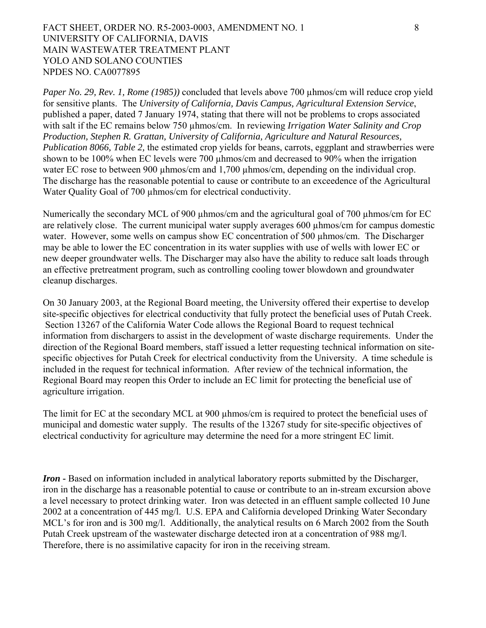## FACT SHEET, ORDER NO. R5-2003-0003, AMENDMENT NO. 1 8 UNIVERSITY OF CALIFORNIA, DAVIS MAIN WASTEWATER TREATMENT PLANT YOLO AND SOLANO COUNTIES NPDES NO. CA0077895

*Paper No. 29, Rev. 1, Rome (1985)*) concluded that levels above 700 uhmos/cm will reduce crop yield for sensitive plants. The *University of California, Davis Campus, Agricultural Extension Service*, published a paper, dated 7 January 1974, stating that there will not be problems to crops associated with salt if the EC remains below 750  $\mu$ hmos/cm. In reviewing *Irrigation Water Salinity and Crop Production, Stephen R. Grattan, University of California, Agriculture and Natural Resources, Publication 8066, Table 2,* the estimated crop yields for beans, carrots, eggplant and strawberries were shown to be 100% when EC levels were 700 µhmos/cm and decreased to 90% when the irrigation water EC rose to between 900 µhmos/cm and 1,700 µhmos/cm, depending on the individual crop. The discharge has the reasonable potential to cause or contribute to an exceedence of the Agricultural Water Quality Goal of 700 µhmos/cm for electrical conductivity.

Numerically the secondary MCL of 900 µhmos/cm and the agricultural goal of 700 µhmos/cm for EC are relatively close. The current municipal water supply averages 600  $\mu$ hmos/cm for campus domestic water. However, some wells on campus show EC concentration of 500  $\mu$ hmos/cm. The Discharger may be able to lower the EC concentration in its water supplies with use of wells with lower EC or new deeper groundwater wells. The Discharger may also have the ability to reduce salt loads through an effective pretreatment program, such as controlling cooling tower blowdown and groundwater cleanup discharges.

On 30 January 2003, at the Regional Board meeting, the University offered their expertise to develop site-specific objectives for electrical conductivity that fully protect the beneficial uses of Putah Creek. Section 13267 of the California Water Code allows the Regional Board to request technical information from dischargers to assist in the development of waste discharge requirements. Under the direction of the Regional Board members, staff issued a letter requesting technical information on sitespecific objectives for Putah Creek for electrical conductivity from the University. A time schedule is included in the request for technical information. After review of the technical information, the Regional Board may reopen this Order to include an EC limit for protecting the beneficial use of agriculture irrigation.

The limit for EC at the secondary MCL at 900 µhmos/cm is required to protect the beneficial uses of municipal and domestic water supply. The results of the 13267 study for site-specific objectives of electrical conductivity for agriculture may determine the need for a more stringent EC limit.

*Iron* **-** Based on information included in analytical laboratory reports submitted by the Discharger, iron in the discharge has a reasonable potential to cause or contribute to an in-stream excursion above a level necessary to protect drinking water. Iron was detected in an effluent sample collected 10 June 2002 at a concentration of 445 mg/l. U.S. EPA and California developed Drinking Water Secondary MCL's for iron and is 300 mg/l. Additionally, the analytical results on 6 March 2002 from the South Putah Creek upstream of the wastewater discharge detected iron at a concentration of 988 mg/l. Therefore, there is no assimilative capacity for iron in the receiving stream.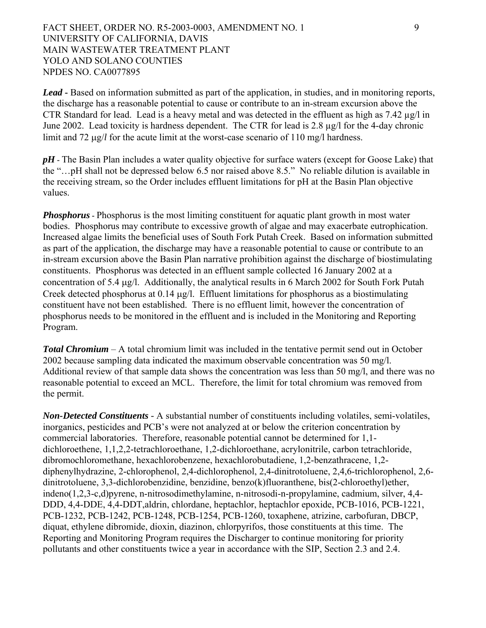FACT SHEET, ORDER NO. R5-2003-0003, AMENDMENT NO. 1 9 UNIVERSITY OF CALIFORNIA, DAVIS MAIN WASTEWATER TREATMENT PLANT YOLO AND SOLANO COUNTIES NPDES NO. CA0077895

*Lead* **-** Based on information submitted as part of the application, in studies, and in monitoring reports, the discharge has a reasonable potential to cause or contribute to an in-stream excursion above the CTR Standard for lead. Lead is a heavy metal and was detected in the effluent as high as 7.42 µg/l in June 2002. Lead toxicity is hardness dependent. The CTR for lead is 2.8 µg/l for the 4-day chronic limit and 72 μg/*l* for the acute limit at the worst-case scenario of 110 mg/l hardness.

*pH* – The Basin Plan includes a water quality objective for surface waters (except for Goose Lake) that the "…pH shall not be depressed below 6.5 nor raised above 8.5." No reliable dilution is available in the receiving stream, so the Order includes effluent limitations for pH at the Basin Plan objective values.

*Phosphorus* **-** Phosphorus is the most limiting constituent for aquatic plant growth in most water bodies. Phosphorus may contribute to excessive growth of algae and may exacerbate eutrophication. Increased algae limits the beneficial uses of South Fork Putah Creek. Based on information submitted as part of the application, the discharge may have a reasonable potential to cause or contribute to an in-stream excursion above the Basin Plan narrative prohibition against the discharge of biostimulating constituents. Phosphorus was detected in an effluent sample collected 16 January 2002 at a concentration of 5.4 μg/l. Additionally, the analytical results in 6 March 2002 for South Fork Putah Creek detected phosphorus at 0.14 μg/l. Effluent limitations for phosphorus as a biostimulating constituent have not been established. There is no effluent limit, however the concentration of phosphorus needs to be monitored in the effluent and is included in the Monitoring and Reporting Program.

*Total Chromium* – A total chromium limit was included in the tentative permit send out in October 2002 because sampling data indicated the maximum observable concentration was 50 mg/l. Additional review of that sample data shows the concentration was less than 50 mg/l, and there was no reasonable potential to exceed an MCL. Therefore, the limit for total chromium was removed from the permit.

*Non-Detected Constituents -* A substantial number of constituents including volatiles, semi-volatiles, inorganics, pesticides and PCB's were not analyzed at or below the criterion concentration by commercial laboratories. Therefore, reasonable potential cannot be determined for 1,1 dichloroethene, 1,1,2,2-tetrachloroethane, 1,2-dichloroethane, acrylonitrile, carbon tetrachloride, dibromochloromethane, hexachlorobenzene, hexachlorobutadiene, 1,2-benzathracene, 1,2 diphenylhydrazine, 2-chlorophenol, 2,4-dichlorophenol, 2,4-dinitrotoluene, 2,4,6-trichlorophenol, 2,6 dinitrotoluene, 3,3-dichlorobenzidine, benzidine, benzo(k)fluoranthene, bis(2-chloroethyl)ether, indeno(1,2,3-c,d)pyrene, n-nitrosodimethylamine, n-nitrosodi-n-propylamine, cadmium, silver, 4,4- DDD, 4,4-DDE, 4,4-DDT,aldrin, chlordane, heptachlor, heptachlor epoxide, PCB-1016, PCB-1221, PCB-1232, PCB-1242, PCB-1248, PCB-1254, PCB-1260, toxaphene, atrizine, carbofuran, DBCP, diquat, ethylene dibromide, dioxin, diazinon, chlorpyrifos, those constituents at this time. The Reporting and Monitoring Program requires the Discharger to continue monitoring for priority pollutants and other constituents twice a year in accordance with the SIP, Section 2.3 and 2.4.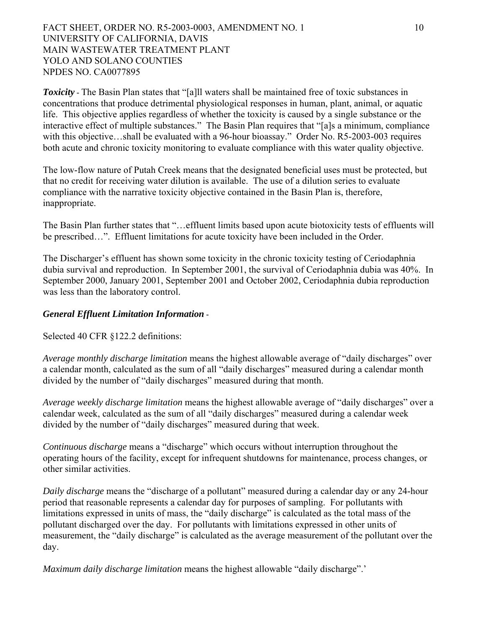FACT SHEET, ORDER NO. R5-2003-0003, AMENDMENT NO. 1 10 UNIVERSITY OF CALIFORNIA, DAVIS MAIN WASTEWATER TREATMENT PLANT YOLO AND SOLANO COUNTIES NPDES NO. CA0077895

**Toxicity -** The Basin Plan states that "[a]ll waters shall be maintained free of toxic substances in concentrations that produce detrimental physiological responses in human, plant, animal, or aquatic life. This objective applies regardless of whether the toxicity is caused by a single substance or the interactive effect of multiple substances." The Basin Plan requires that "[a]s a minimum, compliance with this objective...shall be evaluated with a 96-hour bioassay." Order No. R5-2003-003 requires both acute and chronic toxicity monitoring to evaluate compliance with this water quality objective.

The low-flow nature of Putah Creek means that the designated beneficial uses must be protected, but that no credit for receiving water dilution is available. The use of a dilution series to evaluate compliance with the narrative toxicity objective contained in the Basin Plan is, therefore, inappropriate.

The Basin Plan further states that "…effluent limits based upon acute biotoxicity tests of effluents will be prescribed…". Effluent limitations for acute toxicity have been included in the Order.

The Discharger's effluent has shown some toxicity in the chronic toxicity testing of Ceriodaphnia dubia survival and reproduction. In September 2001, the survival of Ceriodaphnia dubia was 40%. In September 2000, January 2001, September 2001 and October 2002, Ceriodaphnia dubia reproduction was less than the laboratory control.

### *General Effluent Limitation Information* **-**

Selected 40 CFR §122.2 definitions:

*Average monthly discharge limitation* means the highest allowable average of "daily discharges" over a calendar month, calculated as the sum of all "daily discharges" measured during a calendar month divided by the number of "daily discharges" measured during that month.

*Average weekly discharge limitation* means the highest allowable average of "daily discharges" over a calendar week, calculated as the sum of all "daily discharges" measured during a calendar week divided by the number of "daily discharges" measured during that week.

*Continuous discharge* means a "discharge" which occurs without interruption throughout the operating hours of the facility, except for infrequent shutdowns for maintenance, process changes, or other similar activities.

*Daily discharge* means the "discharge of a pollutant" measured during a calendar day or any 24-hour period that reasonable represents a calendar day for purposes of sampling. For pollutants with limitations expressed in units of mass, the "daily discharge" is calculated as the total mass of the pollutant discharged over the day. For pollutants with limitations expressed in other units of measurement, the "daily discharge" is calculated as the average measurement of the pollutant over the day.

*Maximum daily discharge limitation* means the highest allowable "daily discharge".'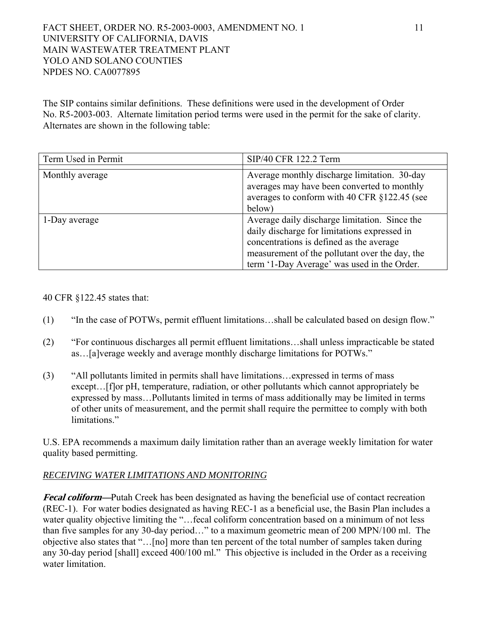## FACT SHEET, ORDER NO. R5-2003-0003, AMENDMENT NO. 1 11 UNIVERSITY OF CALIFORNIA, DAVIS MAIN WASTEWATER TREATMENT PLANT YOLO AND SOLANO COUNTIES NPDES NO. CA0077895

The SIP contains similar definitions. These definitions were used in the development of Order No. R5-2003-003. Alternate limitation period terms were used in the permit for the sake of clarity. Alternates are shown in the following table:

| Term Used in Permit | SIP/40 CFR 122.2 Term                                                                                                                                                                                                                      |
|---------------------|--------------------------------------------------------------------------------------------------------------------------------------------------------------------------------------------------------------------------------------------|
| Monthly average     | Average monthly discharge limitation. 30-day<br>averages may have been converted to monthly<br>averages to conform with 40 CFR §122.45 (see<br>below)                                                                                      |
| 1-Day average       | Average daily discharge limitation. Since the<br>daily discharge for limitations expressed in<br>concentrations is defined as the average<br>measurement of the pollutant over the day, the<br>term '1-Day Average' was used in the Order. |

40 CFR §122.45 states that:

- (1) "In the case of POTWs, permit effluent limitations…shall be calculated based on design flow."
- (2) "For continuous discharges all permit effluent limitations…shall unless impracticable be stated as…[a]verage weekly and average monthly discharge limitations for POTWs."
- (3) "All pollutants limited in permits shall have limitations…expressed in terms of mass except... [f]or pH, temperature, radiation, or other pollutants which cannot appropriately be expressed by mass…Pollutants limited in terms of mass additionally may be limited in terms of other units of measurement, and the permit shall require the permittee to comply with both limitations."

U.S. EPA recommends a maximum daily limitation rather than an average weekly limitation for water quality based permitting.

## *RECEIVING WATER LIMITATIONS AND MONITORING*

**Fecal coliform—**Putah Creek has been designated as having the beneficial use of contact recreation (REC-1). For water bodies designated as having REC-1 as a beneficial use, the Basin Plan includes a water quality objective limiting the "... fecal coliform concentration based on a minimum of not less than five samples for any 30-day period…" to a maximum geometric mean of 200 MPN/100 ml. The objective also states that "…[no] more than ten percent of the total number of samples taken during any 30-day period [shall] exceed 400/100 ml." This objective is included in the Order as a receiving water limitation.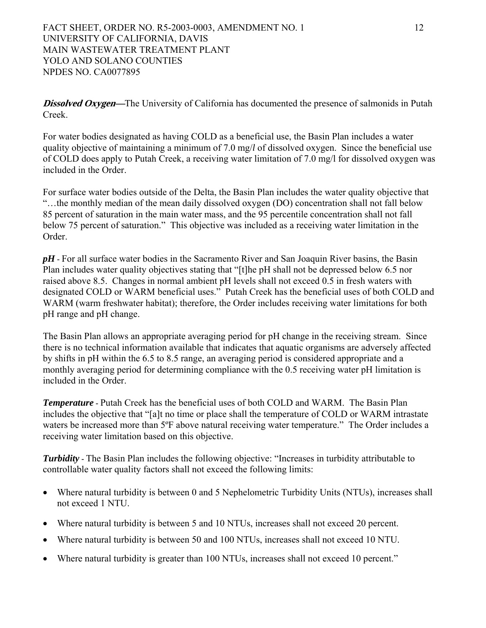FACT SHEET, ORDER NO. R5-2003-0003, AMENDMENT NO. 1 12 UNIVERSITY OF CALIFORNIA, DAVIS MAIN WASTEWATER TREATMENT PLANT YOLO AND SOLANO COUNTIES NPDES NO. CA0077895

**Dissolved Oxygen—**The University of California has documented the presence of salmonids in Putah Creek.

For water bodies designated as having COLD as a beneficial use, the Basin Plan includes a water quality objective of maintaining a minimum of 7.0 mg/*l* of dissolved oxygen. Since the beneficial use of COLD does apply to Putah Creek, a receiving water limitation of 7.0 mg/l for dissolved oxygen was included in the Order.

For surface water bodies outside of the Delta, the Basin Plan includes the water quality objective that "…the monthly median of the mean daily dissolved oxygen (DO) concentration shall not fall below 85 percent of saturation in the main water mass, and the 95 percentile concentration shall not fall below 75 percent of saturation." This objective was included as a receiving water limitation in the Order.

*pH* **-** For all surface water bodies in the Sacramento River and San Joaquin River basins, the Basin Plan includes water quality objectives stating that "[t]he pH shall not be depressed below 6.5 nor raised above 8.5. Changes in normal ambient pH levels shall not exceed 0.5 in fresh waters with designated COLD or WARM beneficial uses." Putah Creek has the beneficial uses of both COLD and WARM (warm freshwater habitat); therefore, the Order includes receiving water limitations for both pH range and pH change.

The Basin Plan allows an appropriate averaging period for pH change in the receiving stream. Since there is no technical information available that indicates that aquatic organisms are adversely affected by shifts in pH within the 6.5 to 8.5 range, an averaging period is considered appropriate and a monthly averaging period for determining compliance with the 0.5 receiving water pH limitation is included in the Order.

*Temperature* **-** Putah Creek has the beneficial uses of both COLD and WARM. The Basin Plan includes the objective that "[a]t no time or place shall the temperature of COLD or WARM intrastate waters be increased more than 5<sup>o</sup>F above natural receiving water temperature." The Order includes a receiving water limitation based on this objective.

*Turbidity* **-** The Basin Plan includes the following objective: "Increases in turbidity attributable to controllable water quality factors shall not exceed the following limits:

- Where natural turbidity is between 0 and 5 Nephelometric Turbidity Units (NTUs), increases shall not exceed 1 NTU.
- Where natural turbidity is between 5 and 10 NTUs, increases shall not exceed 20 percent.
- Where natural turbidity is between 50 and 100 NTUs, increases shall not exceed 10 NTU.
- Where natural turbidity is greater than 100 NTUs, increases shall not exceed 10 percent."